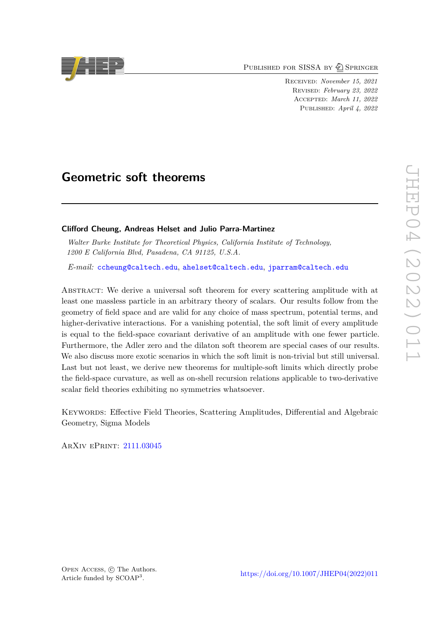PUBLISHED FOR SISSA BY 2 SPRINGER

Received: *November 15, 2021* Revised: *February 23, 2022* Accepted: *March 11, 2022* Published: *April 4, 2022*

# **Geometric soft theorems**

## **Clifford Cheung, Andreas Helset and Julio Parra-Martinez**

*Walter Burke Institute for Theoretical Physics, California Institute of Technology, 1200 E California Blvd, Pasadena, CA 91125, U.S.A.*

*E-mail:* [ccheung@caltech.edu](mailto:ccheung@caltech.edu), [ahelset@caltech.edu](mailto:ahelset@caltech.edu), [jparram@caltech.edu](mailto:jparram@caltech.edu)

Abstract: We derive a universal soft theorem for every scattering amplitude with at least one massless particle in an arbitrary theory of scalars. Our results follow from the geometry of field space and are valid for any choice of mass spectrum, potential terms, and higher-derivative interactions. For a vanishing potential, the soft limit of every amplitude is equal to the field-space covariant derivative of an amplitude with one fewer particle. Furthermore, the Adler zero and the dilaton soft theorem are special cases of our results. We also discuss more exotic scenarios in which the soft limit is non-trivial but still universal. Last but not least, we derive new theorems for multiple-soft limits which directly probe the field-space curvature, as well as on-shell recursion relations applicable to two-derivative scalar field theories exhibiting no symmetries whatsoever.

KEYWORDS: Effective Field Theories, Scattering Amplitudes, Differential and Algebraic Geometry, Sigma Models

ArXiv ePrint: [2111.03045](https://arxiv.org/abs/2111.03045)

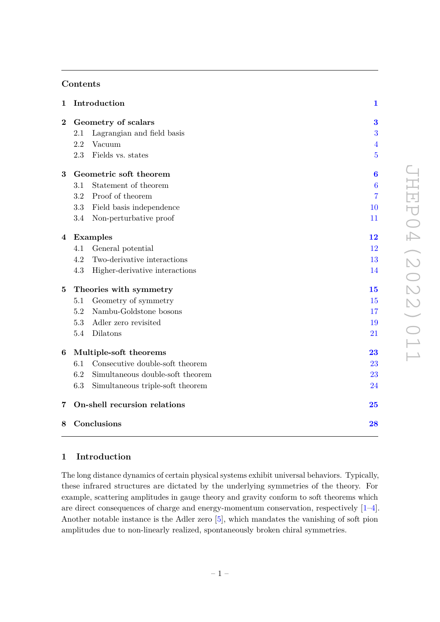# **Contents**

| $\mathbf{1}$   | Introduction                 |                                  |                            |
|----------------|------------------------------|----------------------------------|----------------------------|
| $\bf{2}$       | Geometry of scalars          |                                  | 3                          |
|                | 2.1                          | Lagrangian and field basis       | 3                          |
|                | 2.2                          | Vacuum                           | 4                          |
|                | 2.3                          | Fields vs. states                | $\overline{5}$             |
| 3              | Geometric soft theorem       |                                  | 6                          |
|                | 3.1                          | Statement of theorem             | $\boldsymbol{6}$           |
|                | 3.2                          | Proof of theorem                 | 7                          |
|                | 3.3                          | Field basis independence         | 10                         |
|                | 3.4                          | Non-perturbative proof           | 11                         |
| 4              | Examples                     |                                  | $\overline{1}\overline{2}$ |
|                | 4.1                          | General potential                | 12                         |
|                | 4.2                          | Two-derivative interactions      | 13                         |
|                | 4.3                          | Higher-derivative interactions   | 14                         |
| $\overline{5}$ | Theories with symmetry       |                                  | 15                         |
|                | 5.1                          | Geometry of symmetry             | 15                         |
|                | 5.2                          | Nambu-Goldstone bosons           | 17                         |
|                | 5.3                          | Adler zero revisited             | 19                         |
|                | 5.4                          | Dilatons                         | 21                         |
| 6              | Multiple-soft theorems       |                                  | 23                         |
|                | 6.1                          | Consecutive double-soft theorem  | 23                         |
|                | 6.2                          | Simultaneous double-soft theorem | $23\,$                     |
|                | 6.3                          | Simultaneous triple-soft theorem | 24                         |
| 7              | On-shell recursion relations |                                  | 25                         |
| 8              | Conclusions                  |                                  | 28                         |

# <span id="page-1-0"></span>**1 Introduction**

The long distance dynamics of certain physical systems exhibit universal behaviors. Typically, these infrared structures are dictated by the underlying symmetries of the theory. For example, scattering amplitudes in gauge theory and gravity conform to soft theorems which are direct consequences of charge and energy-momentum conservation, respectively [\[1](#page-29-0)[–4\]](#page-29-1). Another notable instance is the Adler zero [\[5\]](#page-29-2), which mandates the vanishing of soft pion amplitudes due to non-linearly realized, spontaneously broken chiral symmetries.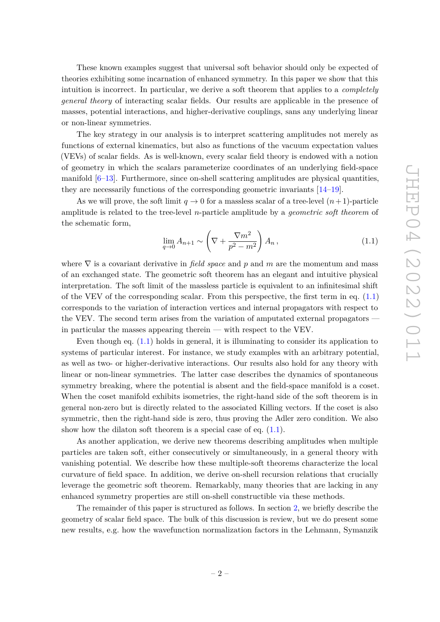These known examples suggest that universal soft behavior should only be expected of theories exhibiting some incarnation of enhanced symmetry. In this paper we show that this intuition is incorrect. In particular, we derive a soft theorem that applies to a *completely general theory* of interacting scalar fields. Our results are applicable in the presence of masses, potential interactions, and higher-derivative couplings, sans any underlying linear or non-linear symmetries.

The key strategy in our analysis is to interpret scattering amplitudes not merely as functions of external kinematics, but also as functions of the vacuum expectation values (VEVs) of scalar fields. As is well-known, every scalar field theory is endowed with a notion of geometry in which the scalars parameterize coordinates of an underlying field-space manifold  $[6-13]$  $[6-13]$ . Furthermore, since on-shell scattering amplitudes are physical quantities, they are necessarily functions of the corresponding geometric invariants [\[14–](#page-29-5)[19\]](#page-30-0).

As we will prove, the soft limit  $q \to 0$  for a massless scalar of a tree-level  $(n+1)$ -particle amplitude is related to the tree-level *n*-particle amplitude by a *geometric soft theorem* of the schematic form,

<span id="page-2-0"></span>
$$
\lim_{q \to 0} A_{n+1} \sim \left(\nabla + \frac{\nabla m^2}{p^2 - m^2}\right) A_n, \tag{1.1}
$$

where ∇ is a covariant derivative in *field space* and *p* and *m* are the momentum and mass of an exchanged state. The geometric soft theorem has an elegant and intuitive physical interpretation. The soft limit of the massless particle is equivalent to an infinitesimal shift of the VEV of the corresponding scalar. From this perspective, the first term in eq. [\(1.1\)](#page-2-0) corresponds to the variation of interaction vertices and internal propagators with respect to the VEV. The second term arises from the variation of amputated external propagators in particular the masses appearing therein — with respect to the VEV.

Even though eq. [\(1.1\)](#page-2-0) holds in general, it is illuminating to consider its application to systems of particular interest. For instance, we study examples with an arbitrary potential, as well as two- or higher-derivative interactions. Our results also hold for any theory with linear or non-linear symmetries. The latter case describes the dynamics of spontaneous symmetry breaking, where the potential is absent and the field-space manifold is a coset. When the coset manifold exhibits isometries, the right-hand side of the soft theorem is in general non-zero but is directly related to the associated Killing vectors. If the coset is also symmetric, then the right-hand side is zero, thus proving the Adler zero condition. We also show how the dilaton soft theorem is a special case of eq.  $(1.1)$ .

As another application, we derive new theorems describing amplitudes when multiple particles are taken soft, either consecutively or simultaneously, in a general theory with vanishing potential. We describe how these multiple-soft theorems characterize the local curvature of field space. In addition, we derive on-shell recursion relations that crucially leverage the geometric soft theorem. Remarkably, many theories that are lacking in any enhanced symmetry properties are still on-shell constructible via these methods.

The remainder of this paper is structured as follows. In section [2,](#page-3-0) we briefly describe the geometry of scalar field space. The bulk of this discussion is review, but we do present some new results, e.g. how the wavefunction normalization factors in the Lehmann, Symanzik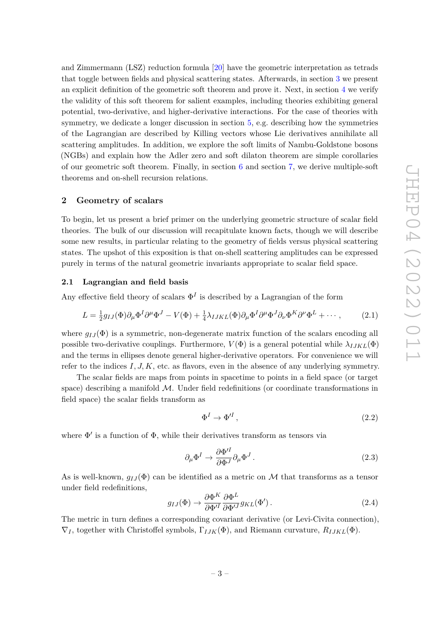and Zimmermann (LSZ) reduction formula [\[20\]](#page-30-1) have the geometric interpretation as tetrads that toggle between fields and physical scattering states. Afterwards, in section [3](#page-6-0) we present an explicit definition of the geometric soft theorem and prove it. Next, in section [4](#page-12-0) we verify the validity of this soft theorem for salient examples, including theories exhibiting general potential, two-derivative, and higher-derivative interactions. For the case of theories with symmetry, we dedicate a longer discussion in section [5,](#page-15-0) e.g. describing how the symmetries of the Lagrangian are described by Killing vectors whose Lie derivatives annihilate all scattering amplitudes. In addition, we explore the soft limits of Nambu-Goldstone bosons (NGBs) and explain how the Adler zero and soft dilaton theorem are simple corollaries of our geometric soft theorem. Finally, in section  $6$  and section  $7$ , we derive multiple-soft theorems and on-shell recursion relations.

#### <span id="page-3-0"></span>**2 Geometry of scalars**

To begin, let us present a brief primer on the underlying geometric structure of scalar field theories. The bulk of our discussion will recapitulate known facts, though we will describe some new results, in particular relating to the geometry of fields versus physical scattering states. The upshot of this exposition is that on-shell scattering amplitudes can be expressed purely in terms of the natural geometric invariants appropriate to scalar field space.

#### <span id="page-3-1"></span>**2.1 Lagrangian and field basis**

Any effective field theory of scalars  $\Phi^I$  is described by a Lagrangian of the form

<span id="page-3-2"></span>
$$
L = \frac{1}{2}g_{IJ}(\Phi)\partial_\mu\Phi^I\partial^\mu\Phi^J - V(\Phi) + \frac{1}{4}\lambda_{IJKL}(\Phi)\partial_\mu\Phi^I\partial^\mu\Phi^J\partial_\nu\Phi^K\partial^\nu\Phi^L + \cdots,
$$
 (2.1)

where  $g_{IJ}(\Phi)$  is a symmetric, non-degenerate matrix function of the scalars encoding all possible two-derivative couplings. Furthermore,  $V(\Phi)$  is a general potential while  $\lambda_{IJKL}(\Phi)$ and the terms in ellipses denote general higher-derivative operators. For convenience we will refer to the indices  $I, J, K$ , etc. as flavors, even in the absence of any underlying symmetry.

The scalar fields are maps from points in spacetime to points in a field space (or target space) describing a manifold  $M$ . Under field redefinitions (or coordinate transformations in field space) the scalar fields transform as

$$
\Phi^I \to \Phi'^I \,,\tag{2.2}
$$

where  $\Phi'$  is a function of  $\Phi$ , while their derivatives transform as tensors via

$$
\partial_{\mu} \Phi^{I} \to \frac{\partial \Phi^{\prime I}}{\partial \Phi^{J}} \partial_{\mu} \Phi^{J} . \tag{2.3}
$$

As is well-known,  $g_{IJ}(\Phi)$  can be identified as a metric on M that transforms as a tensor under field redefinitions,

$$
g_{IJ}(\Phi) \to \frac{\partial \Phi^K}{\partial \Phi'^I} \frac{\partial \Phi^L}{\partial \Phi'^J} g_{KL}(\Phi'). \tag{2.4}
$$

The metric in turn defines a corresponding covariant derivative (or Levi-Civita connection),  $\nabla_I$ , together with Christoffel symbols,  $\Gamma_{IJK}(\Phi)$ , and Riemann curvature,  $R_{IJKL}(\Phi)$ .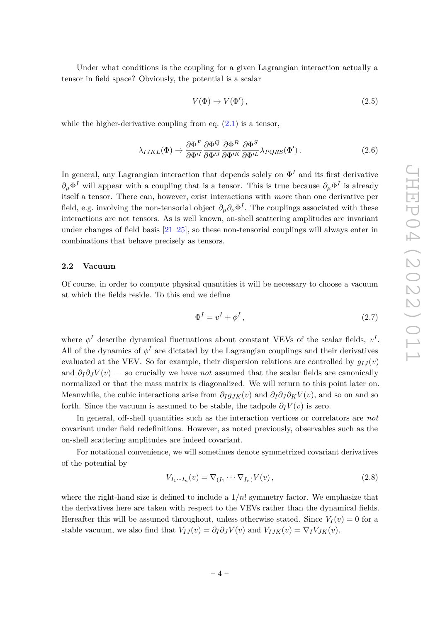Under what conditions is the coupling for a given Lagrangian interaction actually a tensor in field space? Obviously, the potential is a scalar

$$
V(\Phi) \to V(\Phi'), \tag{2.5}
$$

while the higher-derivative coupling from eq.  $(2.1)$  is a tensor,

$$
\lambda_{IJKL}(\Phi) \to \frac{\partial \Phi^P}{\partial \Phi^{\prime I}} \frac{\partial \Phi^Q}{\partial \Phi^{\prime J}} \frac{\partial \Phi^R}{\partial \Phi^{\prime K}} \frac{\partial \Phi^S}{\partial \Phi^{\prime L}} \lambda_{PQRS}(\Phi'). \tag{2.6}
$$

In general, any Lagrangian interaction that depends solely on  $\Phi^I$  and its first derivative  $\partial_{\mu} \Phi^{I}$  will appear with a coupling that is a tensor. This is true because  $\partial_{\mu} \Phi^{I}$  is already itself a tensor. There can, however, exist interactions with *more* than one derivative per field, e.g. involving the non-tensorial object  $\partial_{\mu}\partial_{\nu}\Phi^{I}$ . The couplings associated with these interactions are not tensors. As is well known, on-shell scattering amplitudes are invariant under changes of field basis [\[21–](#page-30-2)[25\]](#page-30-3), so these non-tensorial couplings will always enter in combinations that behave precisely as tensors.

## <span id="page-4-0"></span>**2.2 Vacuum**

Of course, in order to compute physical quantities it will be necessary to choose a vacuum at which the fields reside. To this end we define

$$
\Phi^I = v^I + \phi^I \,,\tag{2.7}
$$

where  $\phi^I$  describe dynamical fluctuations about constant VEVs of the scalar fields,  $v^I$ . All of the dynamics of  $\phi^I$  are dictated by the Lagrangian couplings and their derivatives evaluated at the VEV. So for example, their dispersion relations are controlled by  $q_{IJ}(v)$ and  $\partial_l \partial_j V(v)$  — so crucially we have *not* assumed that the scalar fields are canonically normalized or that the mass matrix is diagonalized. We will return to this point later on. Meanwhile, the cubic interactions arise from  $\partial_I g_{JK}(v)$  and  $\partial_I \partial_J \partial_K V(v)$ , and so on and so forth. Since the vacuum is assumed to be stable, the tadpole  $\partial_I V(v)$  is zero.

In general, off-shell quantities such as the interaction vertices or correlators are *not* covariant under field redefinitions. However, as noted previously, observables such as the on-shell scattering amplitudes are indeed covariant.

For notational convenience, we will sometimes denote symmetrized covariant derivatives of the potential by

$$
V_{I_1\cdots I_n}(v) = \nabla_{(I_1}\cdots \nabla_{I_n)}V(v),
$$
\n(2.8)

where the right-hand size is defined to include a 1*/n*! symmetry factor. We emphasize that the derivatives here are taken with respect to the VEVs rather than the dynamical fields. Hereafter this will be assumed throughout, unless otherwise stated. Since  $V_I(v) = 0$  for a stable vacuum, we also find that  $V_{IJ}(v) = \partial_I \partial_J V(v)$  and  $V_{IJK}(v) = \nabla_I V_{JK}(v)$ .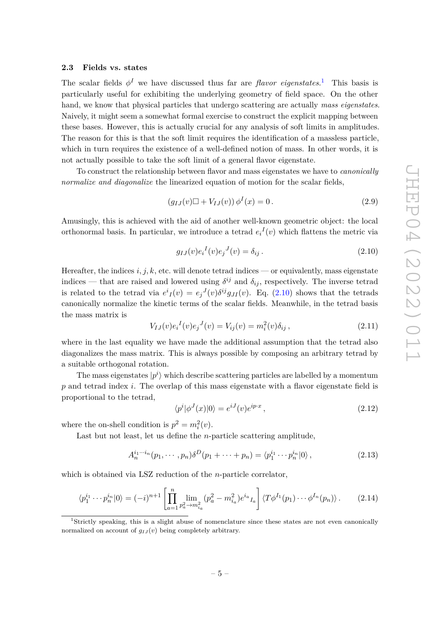#### <span id="page-5-0"></span>**2.3 Fields vs. states**

The scalar fields  $\phi^I$  we have discussed thus far are *flavor eigenstates*.<sup>[1](#page-5-1)</sup> This basis is particularly useful for exhibiting the underlying geometry of field space. On the other hand, we know that physical particles that undergo scattering are actually *mass eigenstates*. Naively, it might seem a somewhat formal exercise to construct the explicit mapping between these bases. However, this is actually crucial for any analysis of soft limits in amplitudes. The reason for this is that the soft limit requires the identification of a massless particle, which in turn requires the existence of a well-defined notion of mass. In other words, it is not actually possible to take the soft limit of a general flavor eigenstate.

To construct the relationship between flavor and mass eigenstates we have to *canonically normalize and diagonalize* the linearized equation of motion for the scalar fields,

$$
(g_{IJ}(v)\Box + V_{IJ}(v))\,\phi^I(x) = 0\,. \tag{2.9}
$$

Amusingly, this is achieved with the aid of another well-known geometric object: the local orthonormal basis. In particular, we introduce a tetrad  $e_i^I(v)$  which flattens the metric via

<span id="page-5-2"></span>
$$
g_{IJ}(v)e_i{}^I(v)e_j{}^J(v) = \delta_{ij}.
$$
\n(2.10)

Hereafter, the indices  $i, j, k$ , etc. will denote tetrad indices — or equivalently, mass eigenstate indices — that are raised and lowered using  $\delta^{ij}$  and  $\delta_{ij}$ , respectively. The inverse tetrad is related to the tetrad via  $e^{i}I(v) = e^{i}I(v)\delta^{ij}g_{JI}(v)$ . Eq. [\(2.10\)](#page-5-2) shows that the tetrads canonically normalize the kinetic terms of the scalar fields. Meanwhile, in the tetrad basis the mass matrix is

$$
V_{IJ}(v)e_i{}^I(v)e_j{}^J(v) = V_{ij}(v) = m_i^2(v)\delta_{ij},
$$
\n(2.11)

where in the last equality we have made the additional assumption that the tetrad also diagonalizes the mass matrix. This is always possible by composing an arbitrary tetrad by a suitable orthogonal rotation.

The mass eigenstates  $|p^i\rangle$  which describe scattering particles are labelled by a momentum *p* and tetrad index *i*. The overlap of this mass eigenstate with a flavor eigenstate field is proportional to the tetrad,

$$
\langle p^i | \phi^J(x) | 0 \rangle = e^{iJ}(v)e^{ip \cdot x}, \qquad (2.12)
$$

where the on-shell condition is  $p^2 = m_i^2(v)$ .

Last but not least, let us define the *n*-particle scattering amplitude,

$$
A_n^{i_1 \cdots i_n}(p_1, \cdots, p_n) \delta^D(p_1 + \cdots + p_n) = \langle p_1^{i_1} \cdots p_n^{i_n} | 0 \rangle, \qquad (2.13)
$$

which is obtained via LSZ reduction of the *n*-particle correlator,

<span id="page-5-3"></span>
$$
\langle p_1^{i_1} \cdots p_n^{i_n} | 0 \rangle = (-i)^{n+1} \left[ \prod_{a=1}^n \lim_{p_a^2 \to m_{i_a}^2} (p_a^2 - m_{i_a}^2) e^{i_a} I_a \right] \langle T \phi^{I_1}(p_1) \cdots \phi^{I_n}(p_n) \rangle. \tag{2.14}
$$

<span id="page-5-1"></span><sup>1</sup>Strictly speaking, this is a slight abuse of nomenclature since these states are not even canonically normalized on account of  $q_{IJ}(v)$  being completely arbitrary.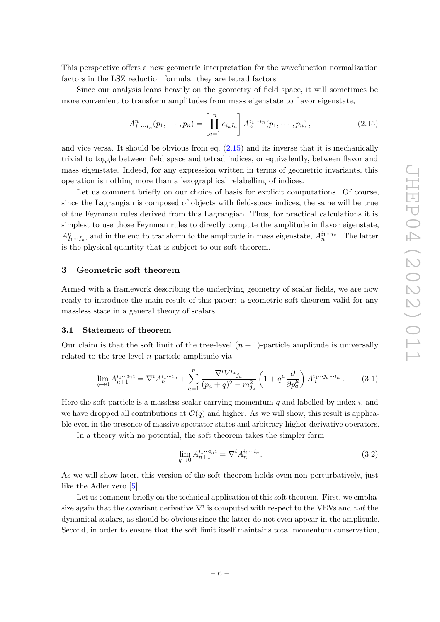This perspective offers a new geometric interpretation for the wavefunction normalization factors in the LSZ reduction formula: they are tetrad factors.

Since our analysis leans heavily on the geometry of field space, it will sometimes be more convenient to transform amplitudes from mass eigenstate to flavor eigenstate,

<span id="page-6-2"></span>
$$
A_{I_1\cdots I_n}^n(p_1,\cdots,p_n) = \left[\prod_{a=1}^n e_{i_a I_a}\right] A_n^{i_1\cdots i_n}(p_1,\cdots,p_n),\tag{2.15}
$$

and vice versa. It should be obvious from eq. [\(2.15\)](#page-6-2) and its inverse that it is mechanically trivial to toggle between field space and tetrad indices, or equivalently, between flavor and mass eigenstate. Indeed, for any expression written in terms of geometric invariants, this operation is nothing more than a lexographical relabelling of indices.

Let us comment briefly on our choice of basis for explicit computations. Of course, since the Lagrangian is composed of objects with field-space indices, the same will be true of the Feynman rules derived from this Lagrangian. Thus, for practical calculations it is simplest to use those Feynman rules to directly compute the amplitude in flavor eigenstate,  $A_{I_1...I_n}^n$ , and in the end to transform to the amplitude in mass eigenstate,  $A_n^{i_1...i_n}$ . The latter is the physical quantity that is subject to our soft theorem.

## <span id="page-6-0"></span>**3 Geometric soft theorem**

Armed with a framework describing the underlying geometry of scalar fields, we are now ready to introduce the main result of this paper: a geometric soft theorem valid for any massless state in a general theory of scalars.

#### <span id="page-6-1"></span>**3.1 Statement of theorem**

Our claim is that the soft limit of the tree-level  $(n + 1)$ -particle amplitude is universally related to the tree-level *n*-particle amplitude via

<span id="page-6-3"></span>
$$
\lim_{q \to 0} A_{n+1}^{i_1 \cdots i_n i} = \nabla^i A_n^{i_1 \cdots i_n} + \sum_{a=1}^n \frac{\nabla^i V^{i_a}_{j_a}}{(p_a + q)^2 - m_{j_a}^2} \left( 1 + q^\mu \frac{\partial}{\partial p_a^\mu} \right) A_n^{i_1 \cdots j_a \cdots i_n}.
$$
 (3.1)

Here the soft particle is a massless scalar carrying momentum *q* and labelled by index *i*, and we have dropped all contributions at  $\mathcal{O}(q)$  and higher. As we will show, this result is applicable even in the presence of massive spectator states and arbitrary higher-derivative operators.

In a theory with no potential, the soft theorem takes the simpler form

<span id="page-6-4"></span>
$$
\lim_{q \to 0} A_{n+1}^{i_1 \cdots i_n i} = \nabla^i A_n^{i_1 \cdots i_n}.
$$
\n(3.2)

As we will show later, this version of the soft theorem holds even non-perturbatively, just like the Adler zero [\[5\]](#page-29-2).

Let us comment briefly on the technical application of this soft theorem. First, we emphasize again that the covariant derivative  $\nabla^i$  is computed with respect to the VEVs and *not* the dynamical scalars, as should be obvious since the latter do not even appear in the amplitude. Second, in order to ensure that the soft limit itself maintains total momentum conservation,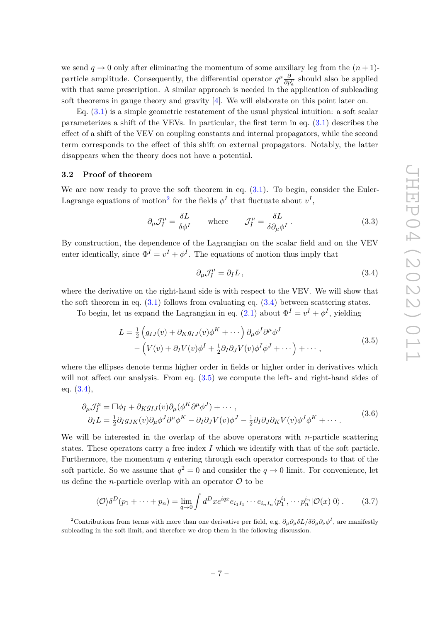we send  $q \to 0$  only after eliminating the momentum of some auxiliary leg from the  $(n+1)$ particle amplitude. Consequently, the differential operator  $q^{\mu} \frac{\partial}{\partial p^{\mu}_a}$  should also be applied with that same prescription. A similar approach is needed in the application of subleading soft theorems in gauge theory and gravity [\[4\]](#page-29-1). We will elaborate on this point later on.

Eq. [\(3.1\)](#page-6-3) is a simple geometric restatement of the usual physical intuition: a soft scalar parameterizes a shift of the VEVs. In particular, the first term in eq. [\(3.1\)](#page-6-3) describes the effect of a shift of the VEV on coupling constants and internal propagators, while the second term corresponds to the effect of this shift on external propagators. Notably, the latter disappears when the theory does not have a potential.

## <span id="page-7-0"></span>**3.2 Proof of theorem**

We are now ready to prove the soft theorem in eq.  $(3.1)$ . To begin, consider the Euler-Lagrange equations of motion<sup>[2](#page-7-1)</sup> for the fields  $\phi^I$  that fluctuate about  $v^I$ ,

$$
\partial_{\mu} \mathcal{J}_{I}^{\mu} = \frac{\delta L}{\delta \phi^{I}} \qquad \text{where} \qquad \mathcal{J}_{I}^{\mu} = \frac{\delta L}{\delta \partial_{\mu} \phi^{I}}. \tag{3.3}
$$

By construction, the dependence of the Lagrangian on the scalar field and on the VEV enter identically, since  $\Phi^I = v^I + \phi^I$ . The equations of motion thus imply that

<span id="page-7-2"></span>
$$
\partial_{\mu} \mathcal{J}_I^{\mu} = \partial_I L \,, \tag{3.4}
$$

where the derivative on the right-hand side is with respect to the VEV. We will show that the soft theorem in eq.  $(3.1)$  follows from evaluating eq.  $(3.4)$  between scattering states.

To begin, let us expand the Lagrangian in eq.  $(2.1)$  about  $\Phi^I = v^I + \phi^I$ , yielding

<span id="page-7-3"></span>
$$
L = \frac{1}{2} \left( g_{IJ}(v) + \partial_K g_{IJ}(v) \phi^K + \cdots \right) \partial_\mu \phi^I \partial^\mu \phi^J
$$
  
– 
$$
\left( V(v) + \partial_I V(v) \phi^I + \frac{1}{2} \partial_I \partial_J V(v) \phi^I \phi^J + \cdots \right) + \cdots,
$$
 (3.5)

where the ellipses denote terms higher order in fields or higher order in derivatives which will not affect our analysis. From eq.  $(3.5)$  we compute the left- and right-hand sides of eq. [\(3.4\)](#page-7-2),

<span id="page-7-4"></span>
$$
\partial_{\mu} \mathcal{J}_{I}^{\mu} = \Box \phi_{I} + \partial_{K} g_{IJ}(v) \partial_{\mu} (\phi^{K} \partial^{\mu} \phi^{J}) + \cdots ,
$$
  
\n
$$
\partial_{I} L = \frac{1}{2} \partial_{I} g_{JK}(v) \partial_{\mu} \phi^{J} \partial^{\mu} \phi^{K} - \partial_{I} \partial_{J} V(v) \phi^{J} - \frac{1}{2} \partial_{I} \partial_{J} \partial_{K} V(v) \phi^{J} \phi^{K} + \cdots .
$$
\n(3.6)

We will be interested in the overlap of the above operators with *n*-particle scattering states. These operators carry a free index *I* which we identify with that of the soft particle. Furthermore, the momentum *q* entering through each operator corresponds to that of the soft particle. So we assume that  $q^2 = 0$  and consider the  $q \to 0$  limit. For convenience, let us define the *n*-particle overlap with an operator  $\mathcal O$  to be

$$
\langle \mathcal{O} \rangle \delta^D(p_1 + \dots + p_n) = \lim_{q \to 0} \int d^D x e^{iqx} e_{i_1 I_1} \cdots e_{i_n I_n} \langle p_1^{i_1}, \cdots p_n^{i_n} | \mathcal{O}(x) | 0 \rangle. \tag{3.7}
$$

<span id="page-7-1"></span><sup>&</sup>lt;sup>2</sup>Contributions from terms with more than one derivative per field, e.g.  $\partial_\mu \partial_\mu \partial_\nu \partial_\mu \partial_\nu \phi^I$ , are manifestly subleading in the soft limit, and therefore we drop them in the following discussion.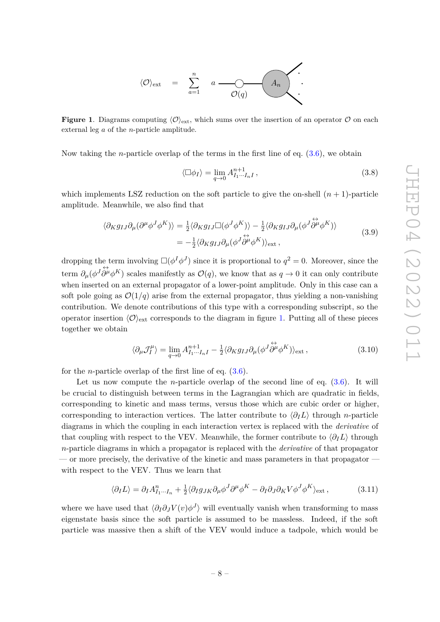

<span id="page-8-0"></span>**Figure 1**. Diagrams computing  $\langle \mathcal{O} \rangle_{\text{ext}}$ , which sums over the insertion of an operator  $\mathcal{O}$  on each external leg *a* of the *n*-particle amplitude.

Now taking the *n*-particle overlap of the terms in the first line of eq. [\(3.6\)](#page-7-4), we obtain

$$
\langle \Box \phi_I \rangle = \lim_{q \to 0} A_{I_1 \cdots I_n I}^{n+1}, \qquad (3.8)
$$

which implements LSZ reduction on the soft particle to give the on-shell  $(n + 1)$ -particle amplitude. Meanwhile, we also find that

$$
\langle \partial_K g_{IJ} \partial_\mu (\partial^\mu \phi^J \phi^K) \rangle = \frac{1}{2} \langle \partial_K g_{IJ} \Box (\phi^J \phi^K) \rangle - \frac{1}{2} \langle \partial_K g_{IJ} \partial_\mu (\phi^J \overleftrightarrow{\partial^\mu} \phi^K) \rangle = -\frac{1}{2} \langle \partial_K g_{IJ} \partial_\mu (\phi^J \overleftrightarrow{\partial^\mu} \phi^K) \rangle_{\text{ext}} ,
$$
(3.9)

dropping the term involving  $\square(\phi^I\phi^J)$  since it is proportional to  $q^2 = 0$ . Moreover, since the term  $\partial_{\mu}(\phi^{J}\partial^{\mu}\phi^{K})$  scales manifestly as  $\mathcal{O}(q)$ , we know that as  $q \to 0$  it can only contribute when inserted on an external propagator of a lower-point amplitude. Only in this case can a soft pole going as  $\mathcal{O}(1/q)$  arise from the external propagator, thus yielding a non-vanishing contribution. We denote contributions of this type with a corresponding subscript, so the operator insertion  $\langle \mathcal{O} \rangle_{\text{ext}}$  corresponds to the diagram in figure [1.](#page-8-0) Putting all of these pieces together we obtain

<span id="page-8-1"></span>
$$
\langle \partial_{\mu} \mathcal{J}_{I}^{\mu} \rangle = \lim_{q \to 0} A_{I_1 \cdots I_n I}^{n+1} - \frac{1}{2} \langle \partial_{K} g_{IJ} \partial_{\mu} (\phi^J \dot{\partial}^{\mu} \phi^K) \rangle_{\text{ext}} , \qquad (3.10)
$$

for the *n*-particle overlap of the first line of eq. [\(3.6\)](#page-7-4).

Let us now compute the *n*-particle overlap of the second line of eq.  $(3.6)$ . It will be crucial to distinguish between terms in the Lagrangian which are quadratic in fields, corresponding to kinetic and mass terms, versus those which are cubic order or higher, corresponding to interaction vertices. The latter contribute to  $\langle \partial_I L \rangle$  through *n*-particle diagrams in which the coupling in each interaction vertex is replaced with the *derivative* of that coupling with respect to the VEV. Meanwhile, the former contribute to  $\langle \partial_I L \rangle$  through *n*-particle diagrams in which a propagator is replaced with the *derivative* of that propagator — or more precisely, the derivative of the kinetic and mass parameters in that propagator with respect to the VEV. Thus we learn that

<span id="page-8-2"></span>
$$
\langle \partial_I L \rangle = \partial_I A_{I_1 \cdots I_n}^n + \frac{1}{2} \langle \partial_I g_{JK} \partial_\mu \phi^J \partial^\mu \phi^K - \partial_I \partial_J \partial_K V \phi^J \phi^K \rangle_{\text{ext}} , \tag{3.11}
$$

where we have used that  $\langle \partial_I \partial_J V(v) \phi^J \rangle$  will eventually vanish when transforming to mass eigenstate basis since the soft particle is assumed to be massless. Indeed, if the soft particle was massive then a shift of the VEV would induce a tadpole, which would be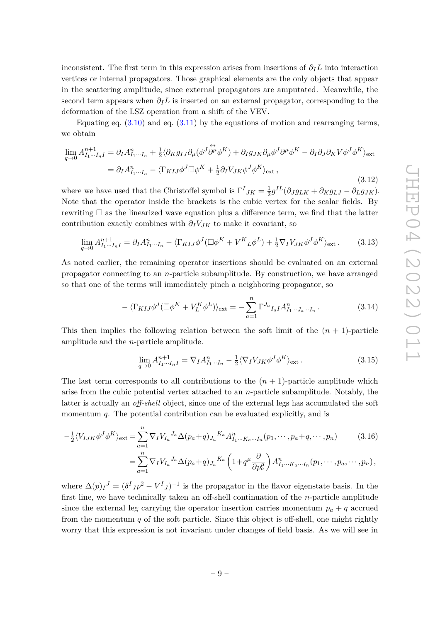inconsistent. The first term in this expression arises from insertions of  $\partial_l L$  into interaction vertices or internal propagators. Those graphical elements are the only objects that appear in the scattering amplitude, since external propagators are amputated. Meanwhile, the second term appears when  $\partial_l L$  is inserted on an external propagator, corresponding to the deformation of the LSZ operation from a shift of the VEV.

Equating eq.  $(3.10)$  and eq.  $(3.11)$  by the equations of motion and rearranging terms, we obtain

$$
\lim_{q \to 0} A_{I_1 \cdots I_n I}^{n+1} = \partial_I A_{I_1 \cdots I_n}^n + \frac{1}{2} \langle \partial_K g_{IJ} \partial_\mu (\phi^J \overleftrightarrow{\partial^\mu} \phi^K) + \partial_I g_{JK} \partial_\mu \phi^J \partial^\mu \phi^K - \partial_I \partial_J \partial_K V \phi^J \phi^K \rangle_{\text{ext}}
$$
\n
$$
= \partial_I A_{I_1 \cdots I_n}^n - \langle \Gamma_{KIJ} \phi^J \square \phi^K + \frac{1}{2} \partial_I V_{JK} \phi^J \phi^K \rangle_{\text{ext}},
$$
\n(3.12)

where we have used that the Christoffel symbol is  $\Gamma^I_{JK} = \frac{1}{2}$  $\frac{1}{2}g^{IL}(\partial_{J}g_{LK} + \partial_{K}g_{LJ} - \partial_{L}g_{JK}).$ Note that the operator inside the brackets is the cubic vertex for the scalar fields. By rewriting  $\square$  as the linearized wave equation plus a difference term, we find that the latter contribution exactly combines with  $\partial_I V_{JK}$  to make it covariant, so

$$
\lim_{q \to 0} A_{I_1 \cdots I_n I}^{n+1} = \partial_I A_{I_1 \cdots I_n}^n - \langle \Gamma_{K I J} \phi^J (\Box \phi^K + V^K{}_L \phi^L) + \frac{1}{2} \nabla_I V_{JK} \phi^J \phi^K \rangle_{\text{ext}}.
$$
 (3.13)

As noted earlier, the remaining operator insertions should be evaluated on an external propagator connecting to an *n*-particle subamplitude. By construction, we have arranged so that one of the terms will immediately pinch a neighboring propagator, so

$$
-\langle \Gamma_{KIJ}\phi^J(\Box \phi^K + V_L^K \phi^L) \rangle_{\text{ext}} = -\sum_{a=1}^n \Gamma^{J_a}{}_{I_aI} A_{I_1 \cdots J_a \cdots I_n}^n. \tag{3.14}
$$

This then implies the following relation between the soft limit of the  $(n + 1)$ -particle amplitude and the *n*-particle amplitude.

<span id="page-9-1"></span><span id="page-9-0"></span>
$$
\lim_{q \to 0} A_{I_1 \cdots I_n I}^{n+1} = \nabla_I A_{I_1 \cdots I_n}^n - \frac{1}{2} \langle \nabla_I V_{JK} \phi^J \phi^K \rangle_{\text{ext}}.
$$
\n(3.15)

The last term corresponds to all contributions to the  $(n + 1)$ -particle amplitude which arise from the cubic potential vertex attached to an *n*-particle subamplitude. Notably, the latter is actually an *off-shell* object, since one of the external legs has accumulated the soft momentum *q*. The potential contribution can be evaluated explicitly, and is

$$
-\frac{1}{2}\langle V_{IJK}\phi^J\phi^K\rangle_{\text{ext}} = \sum_{a=1}^n \nabla_I V_{I_a}{}^{J_a} \Delta(p_a+q)_{J_a}{}^{K_a} A_{I_1\cdots K_a\cdots I_n}^n(p_1,\cdots,p_a+q,\cdots,p_n) \tag{3.16}
$$

$$
= \sum_{a=1}^n \nabla_I V_{I_a}^{J_a} \Delta(p_a+q)_{J_a}^{K_a} \left(1+q^{\mu} \frac{\partial}{\partial p_a^{\mu}}\right) A_{I_1 \cdots K_a \cdots I_n}^n (p_1, \cdots, p_a, \cdots, p_n),
$$

where  $\Delta(p)I^J = (\delta^I J p^2 - V^I J)^{-1}$  is the propagator in the flavor eigenstate basis. In the first line, we have technically taken an off-shell continuation of the *n*-particle amplitude since the external leg carrying the operator insertion carries momentum  $p_a + q$  accrued from the momentum *q* of the soft particle. Since this object is off-shell, one might rightly worry that this expression is not invariant under changes of field basis. As we will see in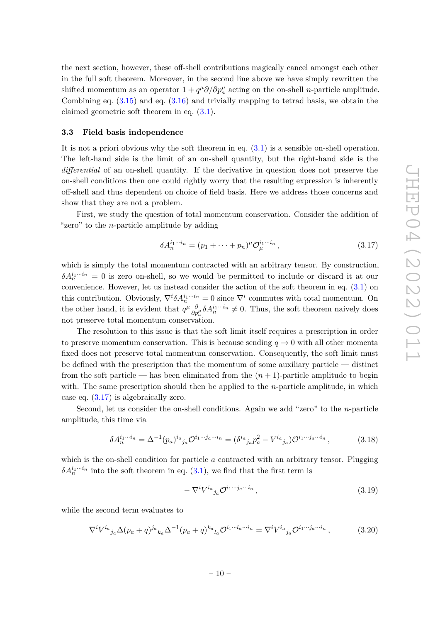the next section, however, these off-shell contributions magically cancel amongst each other in the full soft theorem. Moreover, in the second line above we have simply rewritten the shifted momentum as an operator  $1 + q^{\mu} \partial / \partial p^{\mu}_{a}$  acting on the on-shell *n*-particle amplitude. Combining eq.  $(3.15)$  and eq.  $(3.16)$  and trivially mapping to tetrad basis, we obtain the claimed geometric soft theorem in eq. [\(3.1\)](#page-6-3).

#### <span id="page-10-0"></span>**3.3 Field basis independence**

It is not a priori obvious why the soft theorem in eq. [\(3.1\)](#page-6-3) is a sensible on-shell operation. The left-hand side is the limit of an on-shell quantity, but the right-hand side is the *differential* of an on-shell quantity. If the derivative in question does not preserve the on-shell conditions then one could rightly worry that the resulting expression is inherently off-shell and thus dependent on choice of field basis. Here we address those concerns and show that they are not a problem.

First, we study the question of total momentum conservation. Consider the addition of "zero" to the *n*-particle amplitude by adding

<span id="page-10-1"></span>
$$
\delta A_n^{i_1 \cdots i_n} = (p_1 + \cdots + p_n)^{\mu} \mathcal{O}_{\mu}^{i_1 \cdots i_n},\tag{3.17}
$$

which is simply the total momentum contracted with an arbitrary tensor. By construction,  $\delta A_n^{i_1\cdots i_n} = 0$  is zero on-shell, so we would be permitted to include or discard it at our convenience. However, let us instead consider the action of the soft theorem in eq. [\(3.1\)](#page-6-3) on this contribution. Obviously,  $\nabla^i \delta A_n^{i_1 \cdots i_n} = 0$  since  $\nabla^i$  commutes with total momentum. On the other hand, it is evident that  $q^{\mu} \frac{\partial}{\partial p^{\mu}_{a}} \delta A^{i_1 \cdots i_n}_{n} \neq 0$ . Thus, the soft theorem naively does not preserve total momentum conservation.

The resolution to this issue is that the soft limit itself requires a prescription in order to preserve momentum conservation. This is because sending  $q \to 0$  with all other momenta fixed does not preserve total momentum conservation. Consequently, the soft limit must be defined with the prescription that the momentum of some auxiliary particle — distinct from the soft particle — has been eliminated from the  $(n + 1)$ -particle amplitude to begin with. The same prescription should then be applied to the *n*-particle amplitude, in which case eq. [\(3.17\)](#page-10-1) is algebraically zero.

Second, let us consider the on-shell conditions. Again we add "zero" to the *n*-particle amplitude, this time via

<span id="page-10-2"></span>
$$
\delta A_n^{i_1 \cdots i_n} = \Delta^{-1} (p_a)^{i_a}{}_{j_a} \mathcal{O}^{i_1 \cdots j_a \cdots i_n} = (\delta^{i_a}{}_{j_a} p_a^2 - V^{i_a}{}_{j_a}) \mathcal{O}^{i_1 \cdots j_a \cdots i_n}, \qquad (3.18)
$$

which is the on-shell condition for particle *a* contracted with an arbitrary tensor. Plugging  $\delta A_n^{i_1\cdots i_n}$  into the soft theorem in eq. [\(3.1\)](#page-6-3), we find that the first term is

$$
-\nabla^i V^{i_a}{}_{j_a} \mathcal{O}^{i_1 \cdots j_a \cdots i_n} \,,\tag{3.19}
$$

while the second term evaluates to

$$
\nabla^i V^{i_a}{}_{j_a} \Delta(p_a+q)^{j_a}{}_{k_a} \Delta^{-1}(p_a+q)^{k_a}{}_{l_a} \mathcal{O}^{i_1 \cdots i_a \cdots i_n} = \nabla^i V^{i_a}{}_{j_a} \mathcal{O}^{i_1 \cdots j_a \cdots i_n},\tag{3.20}
$$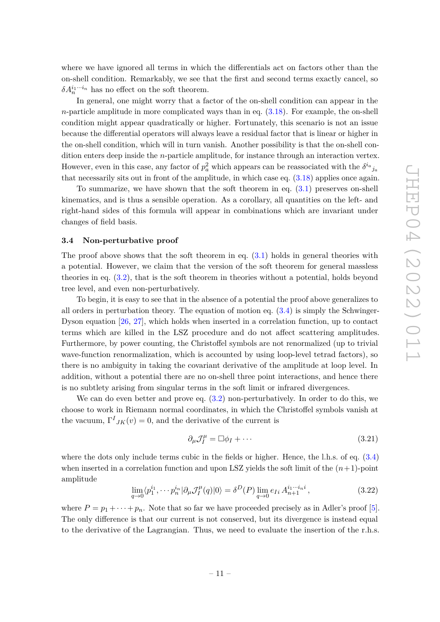where we have ignored all terms in which the differentials act on factors other than the on-shell condition. Remarkably, we see that the first and second terms exactly cancel, so  $\delta A_n^{i_1\cdots i_n}$  has no effect on the soft theorem.

In general, one might worry that a factor of the on-shell condition can appear in the *n*-particle amplitude in more complicated ways than in eq. [\(3.18\)](#page-10-2). For example, the on-shell condition might appear quadratically or higher. Fortunately, this scenario is not an issue because the differential operators will always leave a residual factor that is linear or higher in the on-shell condition, which will in turn vanish. Another possibility is that the on-shell condition enters deep inside the *n*-particle amplitude, for instance through an interaction vertex. However, even in this case, any factor of  $p_a^2$  which appears can be reassociated with the  $\delta^{i_a}{}_{j_a}$ that necessarily sits out in front of the amplitude, in which case eq. [\(3.18\)](#page-10-2) applies once again.

To summarize, we have shown that the soft theorem in eq. [\(3.1\)](#page-6-3) preserves on-shell kinematics, and is thus a sensible operation. As a corollary, all quantities on the left- and right-hand sides of this formula will appear in combinations which are invariant under changes of field basis.

#### <span id="page-11-0"></span>**3.4 Non-perturbative proof**

The proof above shows that the soft theorem in eq.  $(3.1)$  holds in general theories with a potential. However, we claim that the version of the soft theorem for general massless theories in eq. [\(3.2\)](#page-6-4), that is the soft theorem in theories without a potential, holds beyond tree level, and even non-perturbatively.

To begin, it is easy to see that in the absence of a potential the proof above generalizes to all orders in perturbation theory. The equation of motion eq.  $(3.4)$  is simply the Schwinger-Dyson equation [\[26,](#page-30-4) [27\]](#page-30-5), which holds when inserted in a correlation function, up to contact terms which are killed in the LSZ procedure and do not affect scattering amplitudes. Furthermore, by power counting, the Christoffel symbols are not renormalized (up to trivial wave-function renormalization, which is accounted by using loop-level tetrad factors), so there is no ambiguity in taking the covariant derivative of the amplitude at loop level. In addition, without a potential there are no on-shell three point interactions, and hence there is no subtlety arising from singular terms in the soft limit or infrared divergences.

We can do even better and prove eq. [\(3.2\)](#page-6-4) non-perturbatively. In order to do this, we choose to work in Riemann normal coordinates, in which the Christoffel symbols vanish at the vacuum,  $\Gamma^{I}{}_{JK}(v) = 0$ , and the derivative of the current is

$$
\partial_{\mu} \mathcal{J}_I^{\mu} = \Box \phi_I + \cdots \tag{3.21}
$$

where the dots only include terms cubic in the fields or higher. Hence, the l.h.s. of eq.  $(3.4)$ when inserted in a correlation function and upon LSZ yields the soft limit of the  $(n+1)$ -point amplitude

<span id="page-11-1"></span>
$$
\lim_{q \to 0} \langle p_1^{i_1}, \cdots p_n^{i_n} | \partial_\mu J_I^\mu(q) | 0 \rangle = \delta^D(P) \lim_{q \to 0} e_{Ii} A_{n+1}^{i_1 \cdots i_n i}, \tag{3.22}
$$

where  $P = p_1 + \cdots + p_n$ . Note that so far we have proceeded precisely as in Adler's proof [\[5\]](#page-29-2). The only difference is that our current is not conserved, but its divergence is instead equal to the derivative of the Lagrangian. Thus, we need to evaluate the insertion of the r.h.s.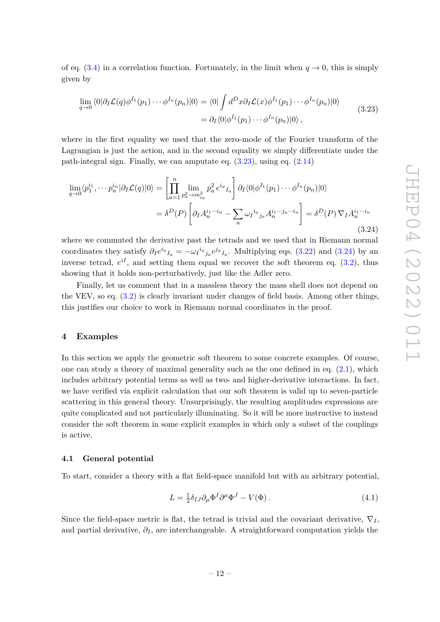of eq.  $(3.4)$  in a correlation function. Fortunately, in the limit when  $q \to 0$ , this is simply given by

<span id="page-12-2"></span>
$$
\lim_{q \to 0} \langle 0 | \partial_I \mathcal{L}(q) \phi^{I_1}(p_1) \cdots \phi^{I_n}(p_n) | 0 \rangle = \langle 0 | \int d^D x \partial_I \mathcal{L}(x) \phi^{I_1}(p_1) \cdots \phi^{I_n}(p_n) | 0 \rangle
$$
\n
$$
= \partial_I \langle 0 | \phi^{I_1}(p_1) \cdots \phi^{I_n}(p_n) | 0 \rangle , \qquad (3.23)
$$

where in the first equality we used that the zero-mode of the Fourier transform of the Lagrangian is just the action, and in the second equality we simply differentiate under the path-integral sign. Finally, we can amputate eq. [\(3.23\)](#page-12-2), using eq. [\(2.14\)](#page-5-3)

<span id="page-12-3"></span>
$$
\lim_{q \to 0} \langle p_1^{i_1}, \cdots p_n^{i_n} | \partial_I \mathcal{L}(q) | 0 \rangle = \left[ \prod_{a=1}^n \lim_{p_a^2 \to m_{i_a}^2} p_a^2 e^{i_a} I_a \right] \partial_I \langle 0 | \phi^{I_1}(p_1) \cdots \phi^{I_n}(p_n) | 0 \rangle
$$
  

$$
= \delta^D(P) \left[ \partial_I A_n^{i_1 \cdots i_n} - \sum_a \omega_I^{i_a} j_a A_n^{i_1 \cdots j_a \cdots i_n} \right] = \delta^D(P) \nabla_I A_n^{i_1 \cdots i_n}
$$
(3.24)

where we commuted the derivative past the tetrads and we used that in Riemann normal coordinates they satisfy  $\partial_I e^{i_a} I_a = -\omega_I^{i_a}{}_{j_a} e^{j_a} I_a$ . Multiplying eqs. [\(3.22\)](#page-11-1) and [\(3.24\)](#page-12-3) by an inverse tetrad,  $e^{iI}$ , and setting them equal we recover the soft theorem eq.  $(3.2)$ , thus showing that it holds non-perturbatively, just like the Adler zero.

Finally, let us comment that in a massless theory the mass shell does not depend on the VEV, so eq. [\(3.2\)](#page-6-4) is clearly invariant under changes of field basis. Among other things, this justifies our choice to work in Riemann normal coordinates in the proof.

#### <span id="page-12-0"></span>**4 Examples**

In this section we apply the geometric soft theorem to some concrete examples. Of course, one can study a theory of maximal generality such as the one defined in eq. [\(2.1\)](#page-3-2), which includes arbitrary potential terms as well as two- and higher-derivative interactions. In fact, we have verified via explicit calculation that our soft theorem is valid up to seven-particle scattering in this general theory. Unsurprisingly, the resulting amplitudes expressions are quite complicated and not particularly illuminating. So it will be more instructive to instead consider the soft theorem in some explicit examples in which only a subset of the couplings is active.

#### <span id="page-12-1"></span>**4.1 General potential**

To start, consider a theory with a flat field-space manifold but with an arbitrary potential,

$$
L = \frac{1}{2} \delta_{IJ} \partial_\mu \Phi^I \partial^\mu \Phi^J - V(\Phi). \tag{4.1}
$$

Since the field-space metric is flat, the tetrad is trivial and the covariant derivative,  $\nabla_I$ , and partial derivative, *∂<sup>I</sup>* , are interchangeable. A straightforward computation yields the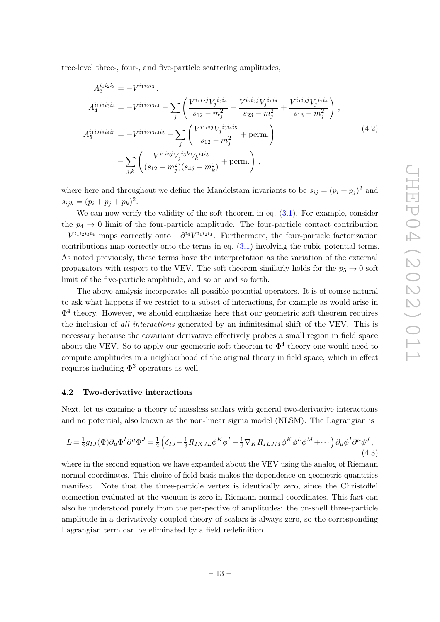tree-level three-, four-, and five-particle scattering amplitudes,

$$
A_4^{i_1 i_2 i_3 i_4} = -V^{i_1 i_2 i_3 i_4} - \sum_j \left( \frac{V^{i_1 i_2 j} V_j^{i_3 i_4}}{s_{12} - m_j^2} + \frac{V^{i_2 i_3 j} V_j^{i_1 i_4}}{s_{23} - m_j^2} + \frac{V^{i_1 i_3 j} V_j^{i_2 i_4}}{s_{13} - m_j^2} \right),
$$
  
\n
$$
A_5^{i_1 i_2 i_3 i_4 i_5} = -V^{i_1 i_2 i_3 i_4 i_5} - \sum_j \left( \frac{V^{i_1 i_2 j} V_j^{i_3 i_4 i_5}}{s_{12} - m_j^2} + \text{perm.} \right)
$$
  
\n
$$
- \sum_{j,k} \left( \frac{V^{i_1 i_2 j} V_j^{i_3 k} V_k^{i_4 i_5}}{(s_{12} - m_j^2)(s_{45} - m_k^2)} + \text{perm.} \right),
$$
\n
$$
(4.2)
$$

where here and throughout we define the Mandelstam invariants to be  $s_{ij} = (p_i + p_j)^2$  and  $s_{ijk} = (p_i + p_j + p_k)^2$ .

We can now verify the validity of the soft theorem in eq.  $(3.1)$ . For example, consider the  $p_4 \rightarrow 0$  limit of the four-particle amplitude. The four-particle contact contribution  $-V^{i_1 i_2 i_3 i_4}$  maps correctly onto  $-\partial^{i_4} V^{i_1 i_2 i_3}$ . Furthermore, the four-particle factorization contributions map correctly onto the terms in eq.  $(3.1)$  involving the cubic potential terms. As noted previously, these terms have the interpretation as the variation of the external propagators with respect to the VEV. The soft theorem similarly holds for the  $p_5 \rightarrow 0$  soft limit of the five-particle amplitude, and so on and so forth.

The above analysis incorporates all possible potential operators. It is of course natural to ask what happens if we restrict to a subset of interactions, for example as would arise in  $\Phi^4$  theory. However, we should emphasize here that our geometric soft theorem requires the inclusion of *all interactions* generated by an infinitesimal shift of the VEV. This is necessary because the covariant derivative effectively probes a small region in field space about the VEV. So to apply our geometric soft theorem to  $\Phi^4$  theory one would need to compute amplitudes in a neighborhood of the original theory in field space, which in effect requires including  $\Phi^3$  operators as well.

#### <span id="page-13-0"></span>**4.2 Two-derivative interactions**

Next, let us examine a theory of massless scalars with general two-derivative interactions and no potential, also known as the non-linear sigma model (NLSM). The Lagrangian is

<span id="page-13-1"></span>
$$
L = \frac{1}{2}g_{IJ}(\Phi)\partial_{\mu}\Phi^{I}\partial^{\mu}\Phi^{J} = \frac{1}{2}\left(\delta_{IJ} - \frac{1}{3}R_{IKJL}\phi^{K}\phi^{L} - \frac{1}{6}\nabla_{K}R_{ILJM}\phi^{K}\phi^{L}\phi^{M} + \cdots\right)\partial_{\mu}\phi^{I}\partial^{\mu}\phi^{J},
$$
\n(4.3)

where in the second equation we have expanded about the VEV using the analog of Riemann normal coordinates. This choice of field basis makes the dependence on geometric quantities manifest. Note that the three-particle vertex is identically zero, since the Christoffel connection evaluated at the vacuum is zero in Riemann normal coordinates. This fact can also be understood purely from the perspective of amplitudes: the on-shell three-particle amplitude in a derivatively coupled theory of scalars is always zero, so the corresponding Lagrangian term can be eliminated by a field redefinition.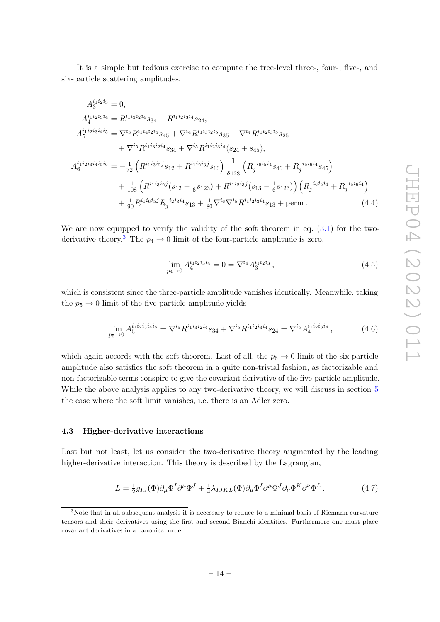It is a simple but tedious exercise to compute the tree-level three-, four-, five-, and six-particle scattering amplitudes,

$$
A_{4}^{i_1 i_2 i_3 i_4} = 0,
$$
  
\n
$$
A_{4}^{i_1 i_2 i_3 i_4 i_5} = R^{i_1 i_3 i_2 i_4} s_{34} + R^{i_1 i_2 i_3 i_4} s_{24},
$$
  
\n
$$
A_{5}^{i_1 i_2 i_3 i_4 i_5} = \nabla^{i_3} R^{i_1 i_4 i_2 i_5} s_{45} + \nabla^{i_4} R^{i_1 i_3 i_2 i_5} s_{35} + \nabla^{i_4} R^{i_1 i_2 i_3 i_5} s_{25}
$$
  
\n
$$
+ \nabla^{i_5} R^{i_1 i_3 i_2 i_4} s_{34} + \nabla^{i_5} R^{i_1 i_2 i_3 i_4} (s_{24} + s_{45}),
$$
  
\n
$$
A_{6}^{i_1 i_2 i_3 i_4 i_5 i_6} = -\frac{1}{72} \left( R^{i_1 i_3 i_2 j} s_{12} + R^{i_1 i_2 i_3 j} s_{13} \right) \frac{1}{s_{123}} \left( R_j^{i_6 i_5 i_4} s_{46} + R_j^{i_5 i_6 i_4} s_{45} \right)
$$
  
\n
$$
+ \frac{1}{108} \left( R^{i_1 i_3 i_2 j} (s_{12} - \frac{1}{6} s_{123}) + R^{i_1 i_2 i_3 j} (s_{13} - \frac{1}{6} s_{123}) \right) \left( R_j^{i_6 i_5 i_4} + R_j^{i_5 i_6 i_4} \right)
$$
  
\n
$$
+ \frac{1}{90} R^{i_1 i_6 i_5 j} R_j^{i_2 i_3 i_4} s_{13} + \frac{1}{80} \nabla^{i_6} \nabla^{i_5} R^{i_1 i_2 i_3 i_4} s_{13} + \text{perm.}
$$
\n(4.4)

We are now equipped to verify the validity of the soft theorem in eq.  $(3.1)$  for the two-derivative theory.<sup>[3](#page-14-1)</sup> The  $p_4 \rightarrow 0$  limit of the four-particle amplitude is zero,

<span id="page-14-2"></span>
$$
\lim_{p_4 \to 0} A_4^{i_1 i_2 i_3 i_4} = 0 = \nabla^{i_4} A_3^{i_1 i_2 i_3}, \tag{4.5}
$$

which is consistent since the three-particle amplitude vanishes identically. Meanwhile, taking the  $p_5 \rightarrow 0$  limit of the five-particle amplitude yields

$$
\lim_{p_5 \to 0} A_5^{i_1 i_2 i_3 i_4 i_5} = \nabla^{i_5} R^{i_1 i_3 i_2 i_4} s_{34} + \nabla^{i_5} R^{i_1 i_2 i_3 i_4} s_{24} = \nabla^{i_5} A_4^{i_1 i_2 i_3 i_4} ,\tag{4.6}
$$

which again accords with the soft theorem. Last of all, the  $p_6 \to 0$  limit of the six-particle amplitude also satisfies the soft theorem in a quite non-trivial fashion, as factorizable and non-factorizable terms conspire to give the covariant derivative of the five-particle amplitude. While the above analysis applies to any two-derivative theory, we will discuss in section [5](#page-15-0) the case where the soft limit vanishes, i.e. there is an Adler zero.

#### <span id="page-14-0"></span>**4.3 Higher-derivative interactions**

Last but not least, let us consider the two-derivative theory augmented by the leading higher-derivative interaction. This theory is described by the Lagrangian,

<span id="page-14-3"></span>
$$
L = \frac{1}{2} g_{IJ}(\Phi) \partial_\mu \Phi^I \partial^\mu \Phi^J + \frac{1}{4} \lambda_{IJKL}(\Phi) \partial_\mu \Phi^I \partial^\mu \Phi^J \partial_\nu \Phi^K \partial^\nu \Phi^L. \tag{4.7}
$$

<span id="page-14-1"></span><sup>&</sup>lt;sup>3</sup>Note that in all subsequent analysis it is necessary to reduce to a minimal basis of Riemann curvature tensors and their derivatives using the first and second Bianchi identities. Furthermore one must place covariant derivatives in a canonical order.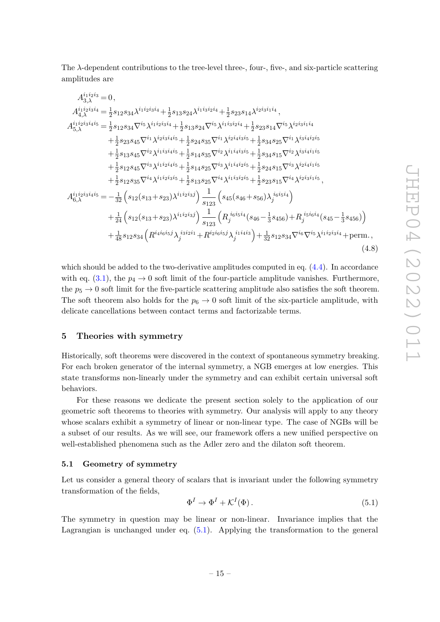The *λ*-dependent contributions to the tree-level three-, four-, five-, and six-particle scattering amplitudes are

$$
A_{3,\lambda}^{i_1i_2i_3i_4} = 0,
$$
  
\n
$$
A_{4,\lambda}^{i_1i_2i_3i_4} = \frac{1}{2}s_{12}s_{34}\lambda^{i_1i_2i_3i_4} + \frac{1}{2}s_{13}s_{24}\lambda^{i_1i_3i_2i_4} + \frac{1}{2}s_{23}s_{14}\lambda^{i_2i_3i_1i_4},
$$
  
\n
$$
A_{5,\lambda}^{i_1i_2i_3i_4i_5} = \frac{1}{2}s_{12}s_{34}\nabla^{i_5}\lambda^{i_1i_2i_3i_4} + \frac{1}{2}s_{13}s_{24}\nabla^{i_5}\lambda^{i_1i_3i_2i_4} + \frac{1}{2}s_{23}s_{14}\nabla^{i_5}\lambda^{i_2i_3i_1i_4}
$$
  
\n
$$
+ \frac{1}{2}s_{23}s_{45}\nabla^{i_1}\lambda^{i_2i_3i_4i_5} + \frac{1}{2}s_{24}s_{35}\nabla^{i_1}\lambda^{i_2i_4i_3i_5} + \frac{1}{2}s_{34}s_{25}\nabla^{i_1}\lambda^{i_3i_4i_2i_5}
$$
  
\n
$$
+ \frac{1}{2}s_{13}s_{45}\nabla^{i_2}\lambda^{i_1i_3i_4i_5} + \frac{1}{2}s_{14}s_{35}\nabla^{i_2}\lambda^{i_1i_4i_3i_5} + \frac{1}{2}s_{34}s_{15}\nabla^{i_2}\lambda^{i_3i_4i_1i_5}
$$
  
\n
$$
+ \frac{1}{2}s_{12}s_{45}\nabla^{i_3}\lambda^{i_1i_2i_4i_5} + \frac{1}{2}s_{14}s_{25}\nabla^{i_3}\lambda^{i_1i_4i_2i_5} + \frac{1}{2}s_{24}s_{15}\nabla^{i_3}\lambda^{i_2i_4i_1i_5}
$$
  
\n
$$
+ \frac{1}{2}s_{12}s_{35}\nabla^{i_4}\lambda^{i_1i_2i_3i_5} + \frac{1}{2}s_{13}s_{25}\nabla^{i_4}\lambda
$$

which should be added to the two-derivative amplitudes computed in eq. [\(4.4\)](#page-14-2). In accordance with eq.  $(3.1)$ , the  $p_4 \rightarrow 0$  soft limit of the four-particle amplitude vanishes. Furthermore, the  $p_5 \rightarrow 0$  soft limit for the five-particle scattering amplitude also satisfies the soft theorem. The soft theorem also holds for the  $p_6 \to 0$  soft limit of the six-particle amplitude, with delicate cancellations between contact terms and factorizable terms.

## <span id="page-15-0"></span>**5 Theories with symmetry**

Historically, soft theorems were discovered in the context of spontaneous symmetry breaking. For each broken generator of the internal symmetry, a NGB emerges at low energies. This state transforms non-linearly under the symmetry and can exhibit certain universal soft behaviors.

For these reasons we dedicate the present section solely to the application of our geometric soft theorems to theories with symmetry. Our analysis will apply to any theory whose scalars exhibit a symmetry of linear or non-linear type. The case of NGBs will be a subset of our results. As we will see, our framework offers a new unified perspective on well-established phenomena such as the Adler zero and the dilaton soft theorem.

#### <span id="page-15-1"></span>**5.1 Geometry of symmetry**

Let us consider a general theory of scalars that is invariant under the following symmetry transformation of the fields,

<span id="page-15-2"></span>
$$
\Phi^I \to \Phi^I + \mathcal{K}^I(\Phi). \tag{5.1}
$$

The symmetry in question may be linear or non-linear. Invariance implies that the Lagrangian is unchanged under eq. [\(5.1\)](#page-15-2). Applying the transformation to the general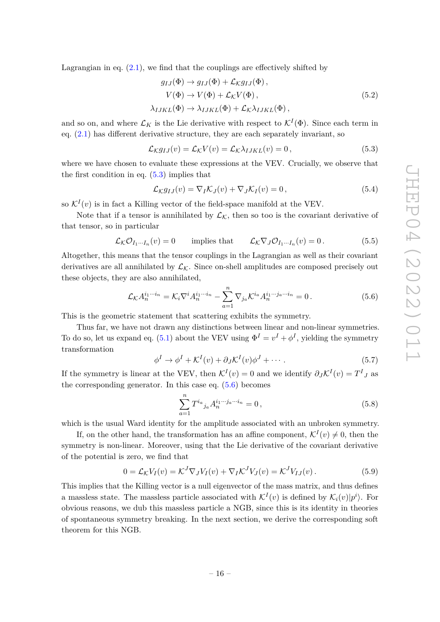Lagrangian in eq.  $(2.1)$ , we find that the couplings are effectively shifted by

$$
g_{IJ}(\Phi) \to g_{IJ}(\Phi) + \mathcal{L}_K g_{IJ}(\Phi),
$$
  
\n
$$
V(\Phi) \to V(\Phi) + \mathcal{L}_K V(\Phi),
$$
  
\n
$$
\lambda_{IJKL}(\Phi) \to \lambda_{IJKL}(\Phi) + \mathcal{L}_K \lambda_{IJKL}(\Phi),
$$
\n(5.2)

and so on, and where  $\mathcal{L}_K$  is the Lie derivative with respect to  $\mathcal{K}^I(\Phi)$ . Since each term in eq.  $(2.1)$  has different derivative structure, they are each separately invariant, so

<span id="page-16-0"></span>
$$
\mathcal{L}_{\mathcal{K}}g_{IJ}(v) = \mathcal{L}_{\mathcal{K}}V(v) = \mathcal{L}_{\mathcal{K}}\lambda_{IJKL}(v) = 0, \qquad (5.3)
$$

where we have chosen to evaluate these expressions at the VEV. Crucially, we observe that the first condition in eq.  $(5.3)$  implies that

<span id="page-16-2"></span>
$$
\mathcal{L}_{\mathcal{K}}g_{IJ}(v) = \nabla_I \mathcal{K}_J(v) + \nabla_J \mathcal{K}_I(v) = 0, \qquad (5.4)
$$

so  $\mathcal{K}^I(v)$  is in fact a Killing vector of the field-space manifold at the VEV.

Note that if a tensor is annihilated by  $\mathcal{L}_{\kappa}$ , then so too is the covariant derivative of that tensor, so in particular

$$
\mathcal{L}_{\mathcal{K}} \mathcal{O}_{I_1 \cdots I_n}(v) = 0 \qquad \text{implies that} \qquad \mathcal{L}_{\mathcal{K}} \nabla_J \mathcal{O}_{I_1 \cdots I_n}(v) = 0. \tag{5.5}
$$

Altogether, this means that the tensor couplings in the Lagrangian as well as their covariant derivatives are all annihilated by  $\mathcal{L}_{\mathcal{K}}$ . Since on-shell amplitudes are composed precisely out these objects, they are also annihilated,

$$
\mathcal{L}_{\mathcal{K}} A_n^{i_1 \cdots i_n} = \mathcal{K}_i \nabla^i A_n^{i_1 \cdots i_n} - \sum_{a=1}^n \nabla_{j_a} \mathcal{K}^{i_a} A_n^{i_1 \cdots j_a \cdots i_n} = 0.
$$
 (5.6)

This is the geometric statement that scattering exhibits the symmetry.

Thus far, we have not drawn any distinctions between linear and non-linear symmetries. To do so, let us expand eq. [\(5.1\)](#page-15-2) about the VEV using  $\Phi^I = v^I + \phi^I$ , yielding the symmetry transformation

$$
\phi^I \to \phi^I + \mathcal{K}^I(v) + \partial_J \mathcal{K}^I(v) \phi^J + \cdots
$$
\n(5.7)

If the symmetry is linear at the VEV, then  $K^I(v) = 0$  and we identify  $\partial_J K^I(v) = T^I{}_J$  as the corresponding generator. In this case eq.  $(5.6)$  becomes

<span id="page-16-1"></span>
$$
\sum_{a=1}^{n} T^{i_a}{}_{j_a} A_n^{i_1 \cdots j_a \cdots i_n} = 0, \qquad (5.8)
$$

which is the usual Ward identity for the amplitude associated with an unbroken symmetry.

If, on the other hand, the transformation has an affine component,  $\mathcal{K}^{I}(v) \neq 0$ , then the symmetry is non-linear. Moreover, using that the Lie derivative of the covariant derivative of the potential is zero, we find that

$$
0 = \mathcal{L}_{\mathcal{K}} V_I(v) = \mathcal{K}^J \nabla_J V_I(v) + \nabla_I \mathcal{K}^J V_J(v) = \mathcal{K}^J V_{IJ}(v).
$$
\n(5.9)

This implies that the Killing vector is a null eigenvector of the mass matrix, and thus defines a massless state. The massless particle associated with  $\mathcal{K}^I(v)$  is defined by  $\mathcal{K}_i(v)|p^i\rangle$ . For obvious reasons, we dub this massless particle a NGB, since this is its identity in theories of spontaneous symmetry breaking. In the next section, we derive the corresponding soft theorem for this NGB.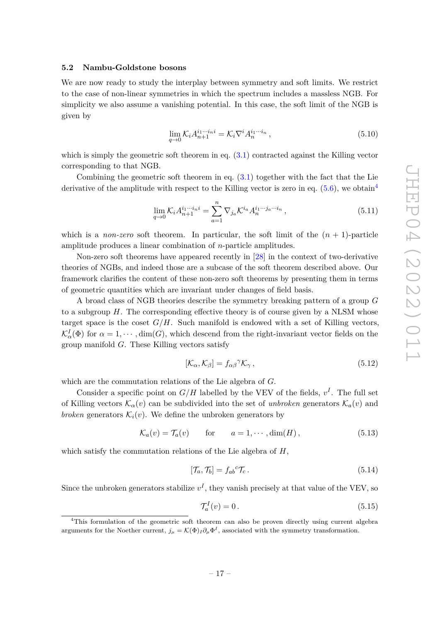## <span id="page-17-0"></span>**5.2 Nambu-Goldstone bosons**

We are now ready to study the interplay between symmetry and soft limits. We restrict to the case of non-linear symmetries in which the spectrum includes a massless NGB. For simplicity we also assume a vanishing potential. In this case, the soft limit of the NGB is given by

<span id="page-17-3"></span>
$$
\lim_{q \to 0} \mathcal{K}_i A_{n+1}^{i_1 \cdots i_n i} = \mathcal{K}_i \nabla^i A_n^{i_1 \cdots i_n}, \tag{5.10}
$$

which is simply the geometric soft theorem in eq.  $(3.1)$  contracted against the Killing vector corresponding to that NGB.

Combining the geometric soft theorem in eq. [\(3.1\)](#page-6-3) together with the fact that the Lie derivative of the amplitude with respect to the Killing vector is zero in eq.  $(5.6)$ , we obtain<sup>[4](#page-17-1)</sup>

$$
\lim_{q \to 0} \mathcal{K}_i A_{n+1}^{i_1 \cdots i_n i} = \sum_{a=1}^n \nabla_{j_a} \mathcal{K}^{i_a} A_n^{i_1 \cdots j_a \cdots i_n}, \qquad (5.11)
$$

which is a *non-zero* soft theorem. In particular, the soft limit of the  $(n + 1)$ -particle amplitude produces a linear combination of *n*-particle amplitudes.

Non-zero soft theorems have appeared recently in [\[28\]](#page-30-6) in the context of two-derivative theories of NGBs, and indeed those are a subcase of the soft theorem described above. Our framework clarifies the content of these non-zero soft theorems by presenting them in terms of geometric quantities which are invariant under changes of field basis.

A broad class of NGB theories describe the symmetry breaking pattern of a group *G* to a subgroup *H*. The corresponding effective theory is of course given by a NLSM whose target space is the coset  $G/H$ . Such manifold is endowed with a set of Killing vectors,  $\mathcal{K}_\alpha^I(\Phi)$  for  $\alpha = 1, \cdots, \dim(G)$ , which descend from the right-invariant vector fields on the group manifold *G*. These Killing vectors satisfy

$$
[\mathcal{K}_{\alpha}, \mathcal{K}_{\beta}] = f_{\alpha\beta}^{\ \gamma} \mathcal{K}_{\gamma} \,, \tag{5.12}
$$

which are the commutation relations of the Lie algebra of *G*.

Consider a specific point on  $G/H$  labelled by the VEV of the fields,  $v^I$ . The full set of Killing vectors  $\mathcal{K}_{\alpha}(v)$  can be subdivided into the set of *unbroken* generators  $\mathcal{K}_{a}(v)$  and *broken* generators  $\mathcal{K}_i(v)$ . We define the unbroken generators by

$$
\mathcal{K}_a(v) = \mathcal{T}_a(v) \qquad \text{for} \qquad a = 1, \cdots, \dim(H), \tag{5.13}
$$

which satisfy the commutation relations of the Lie algebra of *H*,

$$
[\mathcal{T}_a, \mathcal{T}_b] = f_{ab}{}^c \mathcal{T}_c. \tag{5.14}
$$

Since the unbroken generators stabilize  $v^I$ , they vanish precisely at that value of the VEV, so

<span id="page-17-2"></span>
$$
\mathcal{T}_a^I(v) = 0. \tag{5.15}
$$

<span id="page-17-1"></span><sup>4</sup>This formulation of the geometric soft theorem can also be proven directly using current algebra arguments for the Noether current,  $j_{\mu} = \mathcal{K}(\Phi)_I \partial_{\mu} \Phi^I$ , associated with the symmetry transformation.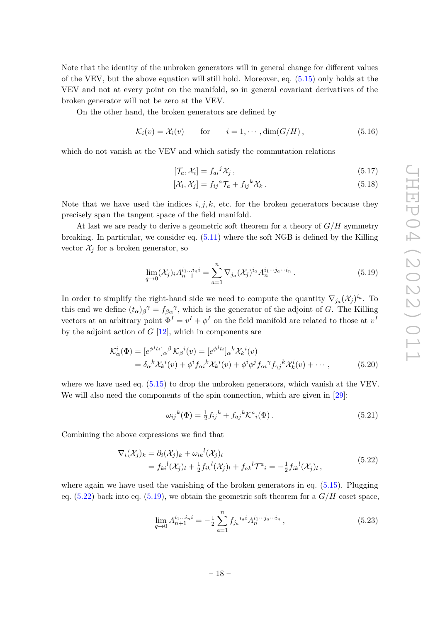Note that the identity of the unbroken generators will in general change for different values of the VEV, but the above equation will still hold. Moreover, eq. [\(5.15\)](#page-17-2) only holds at the VEV and not at every point on the manifold, so in general covariant derivatives of the broken generator will not be zero at the VEV.

On the other hand, the broken generators are defined by

$$
\mathcal{K}_i(v) = \mathcal{X}_i(v) \quad \text{for} \quad i = 1, \cdots, \dim(G/H), \tag{5.16}
$$

which do not vanish at the VEV and which satisfy the commutation relations

<span id="page-18-3"></span>
$$
[\mathcal{T}_a, \mathcal{X}_i] = f_{ai}{}^j \mathcal{X}_j \,, \tag{5.17}
$$

$$
[\mathcal{X}_i, \mathcal{X}_j] = f_{ij}{}^a \mathcal{T}_a + f_{ij}{}^k \mathcal{X}_k. \tag{5.18}
$$

Note that we have used the indices  $i, j, k$ , etc. for the broken generators because they precisely span the tangent space of the field manifold.

At last we are ready to derive a geometric soft theorem for a theory of *G/H* symmetry breaking. In particular, we consider eq. [\(5.11\)](#page-17-3) where the soft NGB is defined by the Killing vector  $\mathcal{X}_i$  for a broken generator, so

<span id="page-18-1"></span>
$$
\lim_{q \to 0} (\mathcal{X}_j)_i A_{n+1}^{i_1 \dots i_n i} = \sum_{a=1}^n \nabla_{j_a} (\mathcal{X}_j)^{i_a} A_n^{i_1 \dots i_a \dots i_n} . \tag{5.19}
$$

In order to simplify the right-hand side we need to compute the quantity  $\nabla_{j_a} (\mathcal{X}_j)^{i_a}$ . To this end we define  $(t_{\alpha})_{\beta}$ <sup> $\gamma$ </sup> =  $f_{\beta\alpha}$ <sup> $\gamma$ </sup>, which is the generator of the adjoint of *G*. The Killing vectors at an arbitrary point  $\Phi^I = v^I + \phi^I$  on the field manifold are related to those at  $v^I$ by the adjoint action of *G* [\[12\]](#page-29-6), which in components are

$$
\mathcal{K}_{\alpha}^{i}(\Phi) = [e^{\phi^{j}t_{i}}]_{\alpha}{}^{\beta} \mathcal{K}_{\beta}{}^{i}(v) = [e^{\phi^{j}t_{i}}]_{\alpha}{}^{k} \mathcal{X}_{k}{}^{i}(v) \n= \delta_{\alpha}{}^{k} \mathcal{X}_{k}{}^{i}(v) + \phi^{i} f_{\alpha i}{}^{k} \mathcal{X}_{k}{}^{i}(v) + \phi^{i} \phi^{j} f_{\alpha i}{}^{\gamma} f_{\gamma j}{}^{k} \mathcal{X}_{k}^{i}(v) + \cdots,
$$
\n(5.20)

where we have used eq.  $(5.15)$  to drop the unbroken generators, which vanish at the VEV. We will also need the components of the spin connection, which are given in [\[29\]](#page-30-7):

$$
\omega_{ij}{}^{k}(\Phi) = \frac{1}{2}f_{ij}{}^{k} + f_{aj}{}^{k} \mathcal{K}^{a}{}_{i}(\Phi).
$$
\n(5.21)

Combining the above expressions we find that

<span id="page-18-0"></span>
$$
\nabla_i(\mathcal{X}_j)_k = \partial_i(\mathcal{X}_j)_k + \omega_{ik}{}^l(\mathcal{X}_j)_l
$$
  
=  $f_{ki}{}^l(\mathcal{X}_j)_l + \frac{1}{2}f_{ik}{}^l(\mathcal{X}_j)_l + f_{ak}{}^l\mathcal{T}^a{}_i = -\frac{1}{2}f_{ik}{}^l(\mathcal{X}_j)_l,$  (5.22)

where again we have used the vanishing of the broken generators in eq.  $(5.15)$ . Plugging eq.  $(5.22)$  back into eq.  $(5.19)$ , we obtain the geometric soft theorem for a  $G/H$  coset space,

<span id="page-18-2"></span>
$$
\lim_{q \to 0} A_{n+1}^{i_1 \dots i_n i} = -\frac{1}{2} \sum_{a=1}^n f_{j_a}^{i_a i} A_n^{i_1 \dots i_a \dots i_n}, \qquad (5.23)
$$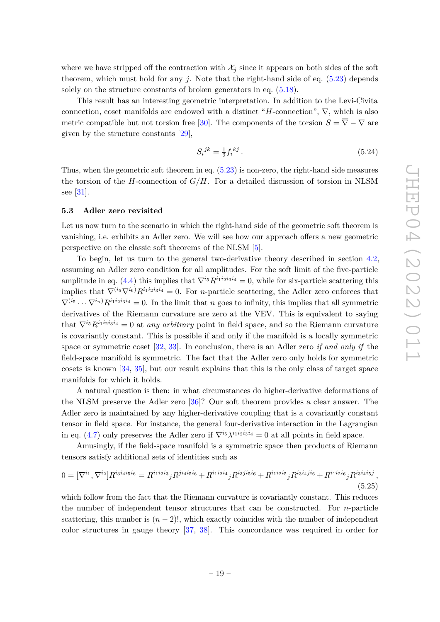where we have stripped off the contraction with  $\mathcal{X}_j$  since it appears on both sides of the soft theorem, which must hold for any  $i$ . Note that the right-hand side of eq.  $(5.23)$  depends solely on the structure constants of broken generators in eq.  $(5.18)$ .

This result has an interesting geometric interpretation. In addition to the Levi-Civita connection, coset manifolds are endowed with a distinct "*H*-connection",  $\overline{\nabla}$ , which is also metric compatible but not torsion free [\[30\]](#page-30-8). The components of the torsion  $S = \overline{\nabla} - \nabla$  are given by the structure constants [\[29\]](#page-30-7),

$$
S_i{}^{jk} = \frac{1}{2} f_i{}^{kj} \,. \tag{5.24}
$$

Thus, when the geometric soft theorem in eq. [\(5.23\)](#page-18-2) is non-zero, the right-hand side measures the torsion of the *H*-connection of *G/H*. For a detailed discussion of torsion in NLSM see [\[31\]](#page-30-9).

#### <span id="page-19-0"></span>**5.3 Adler zero revisited**

Let us now turn to the scenario in which the right-hand side of the geometric soft theorem is vanishing, i.e. exhibits an Adler zero. We will see how our approach offers a new geometric perspective on the classic soft theorems of the NLSM [\[5\]](#page-29-2).

To begin, let us turn to the general two-derivative theory described in section [4.2,](#page-13-0) assuming an Adler zero condition for all amplitudes. For the soft limit of the five-particle amplitude in eq. [\(4.4\)](#page-14-2) this implies that  $\nabla^{i_5} R^{i_1 i_2 i_3 i_4} = 0$ , while for six-particle scattering this implies that  $\nabla^{(i_5}\nabla^{i_6)}R^{i_1i_2i_3i_4} = 0$ . For *n*-particle scattering, the Adler zero enforces that  $\nabla^{(i_5} \cdots \nabla^{i_n)} R^{i_1 i_2 i_3 i_4} = 0$ . In the limit that *n* goes to infinity, this implies that all symmetric derivatives of the Riemann curvature are zero at the VEV. This is equivalent to saying that  $\nabla^{i_5} R^{i_1 i_2 i_3 i_4} = 0$  at *any arbitrary* point in field space, and so the Riemann curvature is covariantly constant. This is possible if and only if the manifold is a locally symmetric space or symmetric coset [\[32,](#page-30-10) [33\]](#page-30-11). In conclusion, there is an Adler zero *if and only if* the field-space manifold is symmetric. The fact that the Adler zero only holds for symmetric cosets is known [\[34,](#page-30-12) [35\]](#page-30-13), but our result explains that this is the only class of target space manifolds for which it holds.

A natural question is then: in what circumstances do higher-derivative deformations of the NLSM preserve the Adler zero [\[36\]](#page-30-14)? Our soft theorem provides a clear answer. The Adler zero is maintained by any higher-derivative coupling that is a covariantly constant tensor in field space. For instance, the general four-derivative interaction in the Lagrangian in eq. [\(4.7\)](#page-14-3) only preserves the Adler zero if  $\nabla^{i_5} \lambda^{i_1 i_2 i_3 i_4} = 0$  at all points in field space.

Amusingly, if the field-space manifold is a symmetric space then products of Riemann tensors satisfy additional sets of identities such as

<span id="page-19-1"></span>
$$
0 = [\nabla^{i_1}, \nabla^{i_2}] R^{i_3 i_4 i_5 i_6} = R^{i_1 i_2 i_3} {}_j R^{j i_4 i_5 i_6} + R^{i_1 i_2 i_4} {}_j R^{i_3 j i_5 i_6} + R^{i_1 i_2 i_5} {}_j R^{i_3 i_4 j i_6} + R^{i_1 i_2 i_6} {}_j R^{i_3 i_4 i_5 j} ,
$$
\n
$$
(5.25)
$$

which follow from the fact that the Riemann curvature is covariantly constant. This reduces the number of independent tensor structures that can be constructed. For *n*-particle scattering, this number is  $(n-2)!$ , which exactly coincides with the number of independent color structures in gauge theory [\[37,](#page-30-15) [38\]](#page-30-16). This concordance was required in order for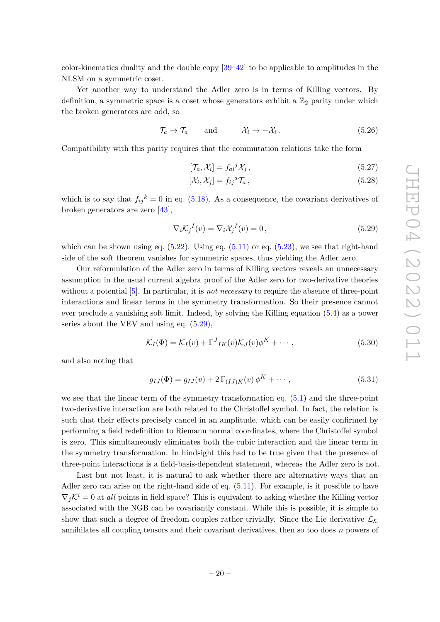color-kinematics duality and the double copy [\[39](#page-31-0)[–42\]](#page-31-1) to be applicable to amplitudes in the NLSM on a symmetric coset.

Yet another way to understand the Adler zero is in terms of Killing vectors. By definition, a symmetric space is a coset whose generators exhibit a  $\mathbb{Z}_2$  parity under which the broken generators are odd, so

$$
\mathcal{T}_a \to \mathcal{T}_a \quad \text{and} \quad \mathcal{X}_i \to -\mathcal{X}_i \,. \tag{5.26}
$$

Compatibility with this parity requires that the commutation relations take the form

$$
[\mathcal{T}_a, \mathcal{X}_i] = f_{ai}{}^j \mathcal{X}_j \,, \tag{5.27}
$$

$$
[\mathcal{X}_i, \mathcal{X}_j] = f_{ij}{}^a \mathcal{T}_a \,, \tag{5.28}
$$

which is to say that  $f_{ij}{}^k = 0$  in eq. [\(5.18\)](#page-18-3). As a consequence, the covariant derivatives of broken generators are zero [\[43\]](#page-31-2),

<span id="page-20-0"></span>
$$
\nabla_i \mathcal{K}_j{}^I(v) = \nabla_i \mathcal{X}_j{}^I(v) = 0, \qquad (5.29)
$$

which can be shown using eq.  $(5.22)$ . Using eq.  $(5.11)$  or eq.  $(5.23)$ , we see that right-hand side of the soft theorem vanishes for symmetric spaces, thus yielding the Adler zero.

Our reformulation of the Adler zero in terms of Killing vectors reveals an unnecessary assumption in the usual current algebra proof of the Adler zero for two-derivative theories without a potential [\[5\]](#page-29-2). In particular, it is *not necessary* to require the absence of three-point interactions and linear terms in the symmetry transformation. So their presence cannot ever preclude a vanishing soft limit. Indeed, by solving the Killing equation [\(5.4\)](#page-16-2) as a power series about the VEV and using eq.  $(5.29)$ ,

$$
\mathcal{K}_I(\Phi) = \mathcal{K}_I(v) + \Gamma^J{}_{IK}(v)\mathcal{K}_J(v)\phi^K + \cdots, \qquad (5.30)
$$

and also noting that

$$
g_{IJ}(\Phi) = g_{IJ}(v) + 2\,\Gamma_{(IJ)K}(v)\,\phi^K + \cdots,\tag{5.31}
$$

we see that the linear term of the symmetry transformation eq. [\(5.1\)](#page-15-2) and the three-point two-derivative interaction are both related to the Christoffel symbol. In fact, the relation is such that their effects precisely cancel in an amplitude, which can be easily confirmed by performing a field redefinition to Riemann normal coordinates, where the Christoffel symbol is zero. This simultaneously eliminates both the cubic interaction and the linear term in the symmetry transformation. In hindsight this had to be true given that the presence of three-point interactions is a field-basis-dependent statement, whereas the Adler zero is not.

Last but not least, it is natural to ask whether there are alternative ways that an Adler zero can arise on the right-hand side of eq.  $(5.11)$ . For example, is it possible to have  $\nabla_i \mathcal{K}^i = 0$  at *all* points in field space? This is equivalent to asking whether the Killing vector associated with the NGB can be covariantly constant. While this is possible, it is simple to show that such a degree of freedom couples rather trivially. Since the Lie derivative  $\mathcal{L}_K$ annihilates all coupling tensors and their covariant derivatives, then so too does *n* powers of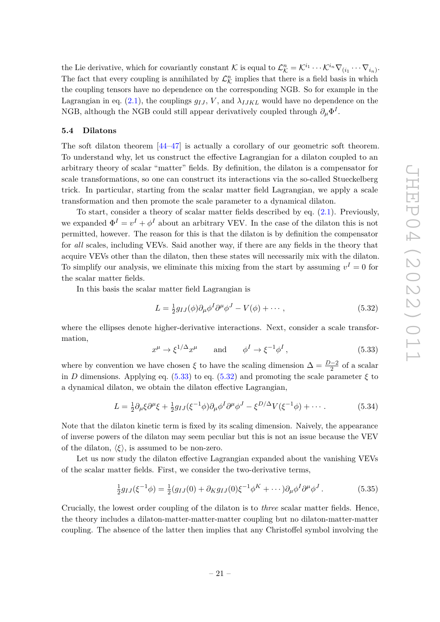the Lie derivative, which for covariantly constant K is equal to  $\mathcal{L}_{\mathcal{K}}^n = \mathcal{K}^{i_1} \cdots \mathcal{K}^{i_n} \nabla_{(i_1} \cdots \nabla_{i_n)}$ . The fact that every coupling is annihilated by  $\mathcal{L}_{\mathcal{K}}^n$  implies that there is a field basis in which the coupling tensors have no dependence on the corresponding NGB. So for example in the Lagrangian in eq.  $(2.1)$ , the couplings  $g_{IJ}$ , V, and  $\lambda_{IJKL}$  would have no dependence on the NGB, although the NGB could still appear derivatively coupled through  $\partial_{\mu} \Phi^{I}$ .

#### <span id="page-21-0"></span>**5.4 Dilatons**

The soft dilaton theorem [\[44–](#page-31-3)[47\]](#page-31-4) is actually a corollary of our geometric soft theorem. To understand why, let us construct the effective Lagrangian for a dilaton coupled to an arbitrary theory of scalar "matter" fields. By definition, the dilaton is a compensator for scale transformations, so one can construct its interactions via the so-called Stueckelberg trick. In particular, starting from the scalar matter field Lagrangian, we apply a scale transformation and then promote the scale parameter to a dynamical dilaton.

To start, consider a theory of scalar matter fields described by eq. [\(2.1\)](#page-3-2). Previously, we expanded  $\Phi^I = v^I + \phi^I$  about an arbitrary VEV. In the case of the dilaton this is not permitted, however. The reason for this is that the dilaton is by definition the compensator for *all* scales, including VEVs. Said another way, if there are any fields in the theory that acquire VEVs other than the dilaton, then these states will necessarily mix with the dilaton. To simplify our analysis, we eliminate this mixing from the start by assuming  $v^I = 0$  for the scalar matter fields.

In this basis the scalar matter field Lagrangian is

<span id="page-21-2"></span>
$$
L = \frac{1}{2}g_{IJ}(\phi)\partial_\mu\phi^I\partial^\mu\phi^J - V(\phi) + \cdots, \qquad (5.32)
$$

where the ellipses denote higher-derivative interactions. Next, consider a scale transformation,

<span id="page-21-1"></span>
$$
x^{\mu} \to \xi^{1/\Delta} x^{\mu} \qquad \text{and} \qquad \phi^{I} \to \xi^{-1} \phi^{I} , \qquad (5.33)
$$

where by convention we have chosen  $\xi$  to have the scaling dimension  $\Delta = \frac{D-2}{2}$  of a scalar in *D* dimensions. Applying eq. [\(5.33\)](#page-21-1) to eq. [\(5.32\)](#page-21-2) and promoting the scale parameter  $\xi$  to a dynamical dilaton, we obtain the dilaton effective Lagrangian,

$$
L = \frac{1}{2}\partial_{\mu}\xi\partial^{\mu}\xi + \frac{1}{2}g_{IJ}(\xi^{-1}\phi)\partial_{\mu}\phi^{I}\partial^{\mu}\phi^{J} - \xi^{D/\Delta}V(\xi^{-1}\phi) + \cdots
$$
 (5.34)

Note that the dilaton kinetic term is fixed by its scaling dimension. Naively, the appearance of inverse powers of the dilaton may seem peculiar but this is not an issue because the VEV of the dilaton,  $\langle \xi \rangle$ , is assumed to be non-zero.

Let us now study the dilaton effective Lagrangian expanded about the vanishing VEVs of the scalar matter fields. First, we consider the two-derivative terms,

$$
\frac{1}{2}g_{IJ}(\xi^{-1}\phi) = \frac{1}{2}(g_{IJ}(0) + \partial_K g_{IJ}(0)\xi^{-1}\phi^K + \cdots)\partial_\mu\phi^I\partial^\mu\phi^J.
$$
(5.35)

Crucially, the lowest order coupling of the dilaton is to *three* scalar matter fields. Hence, the theory includes a dilaton-matter-matter-matter coupling but no dilaton-matter-matter coupling. The absence of the latter then implies that any Christoffel symbol involving the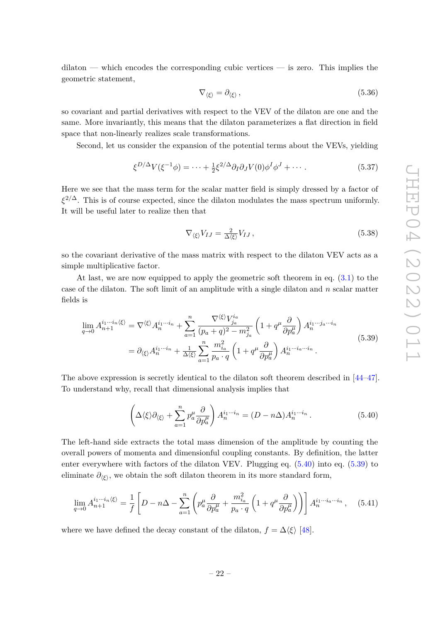dilaton — which encodes the corresponding cubic vertices — is zero. This implies the geometric statement,

$$
\nabla_{\langle \xi \rangle} = \partial_{\langle \xi \rangle} , \tag{5.36}
$$

so covariant and partial derivatives with respect to the VEV of the dilaton are one and the same. More invariantly, this means that the dilaton parameterizes a flat direction in field space that non-linearly realizes scale transformations.

Second, let us consider the expansion of the potential terms about the VEVs, yielding

$$
\xi^{D/\Delta} V(\xi^{-1} \phi) = \dots + \frac{1}{2} \xi^{2/\Delta} \partial_I \partial_J V(0) \phi^I \phi^J + \dots \tag{5.37}
$$

Here we see that the mass term for the scalar matter field is simply dressed by a factor of *ξ* <sup>2</sup>*/*∆. This is of course expected, since the dilaton modulates the mass spectrum uniformly. It will be useful later to realize then that

$$
\nabla_{\langle \xi \rangle} V_{IJ} = \frac{2}{\Delta \langle \xi \rangle} V_{IJ},\tag{5.38}
$$

so the covariant derivative of the mass matrix with respect to the dilaton VEV acts as a simple multiplicative factor.

At last, we are now equipped to apply the geometric soft theorem in eq. [\(3.1\)](#page-6-3) to the case of the dilaton. The soft limit of an amplitude with a single dilaton and *n* scalar matter fields is

<span id="page-22-1"></span>
$$
\lim_{q \to 0} A_{n+1}^{i_1 \cdots i_n \langle \xi \rangle} = \nabla^{\langle \xi \rangle} A_n^{i_1 \cdots i_n} + \sum_{a=1}^n \frac{\nabla^{\langle \xi \rangle} V_{j_a}^{i_a}}{(p_a + q)^2 - m_{j_a}^2} \left( 1 + q^\mu \frac{\partial}{\partial p_a^\mu} \right) A_n^{i_1 \cdots j_a \cdots i_n}
$$
\n
$$
= \partial_{\langle \xi \rangle} A_n^{i_1 \cdots i_n} + \frac{1}{\Delta \langle \xi \rangle} \sum_{a=1}^n \frac{m_{i_a}^2}{p_a \cdot q} \left( 1 + q^\mu \frac{\partial}{\partial p_a^\mu} \right) A_n^{i_1 \cdots i_a \cdots i_n}.
$$
\n(5.39)

The above expression is secretly identical to the dilaton soft theorem described in [\[44–](#page-31-3)[47\]](#page-31-4). To understand why, recall that dimensional analysis implies that

<span id="page-22-0"></span>
$$
\left(\Delta\langle\xi\rangle\partial_{\langle\xi\rangle}+\sum_{a=1}^{n}p_{a}^{\mu}\frac{\partial}{\partial p_{a}^{\mu}}\right)A_{n}^{i_{1}\cdots i_{n}}=(D-n\Delta)A_{n}^{i_{1}\cdots i_{n}}.
$$
\n(5.40)

The left-hand side extracts the total mass dimension of the amplitude by counting the overall powers of momenta and dimensionful coupling constants. By definition, the latter enter everywhere with factors of the dilaton VEV. Plugging eq. [\(5.40\)](#page-22-0) into eq. [\(5.39\)](#page-22-1) to eliminate  $\partial_{\langle \xi \rangle}$ , we obtain the soft dilaton theorem in its more standard form,

$$
\lim_{q \to 0} A_{n+1}^{i_1 \cdots i_n \langle \xi \rangle} = \frac{1}{f} \left[ D - n \Delta - \sum_{a=1}^n \left( p_a^{\mu} \frac{\partial}{\partial p_a^{\mu}} + \frac{m_{i_a}^2}{p_a \cdot q} \left( 1 + q^{\mu} \frac{\partial}{\partial p_a^{\mu}} \right) \right) \right] A_n^{i_1 \cdots i_a \cdots i_n}, \quad (5.41)
$$

where we have defined the decay constant of the dilaton,  $f = \Delta \langle \xi \rangle$  [\[48\]](#page-31-5).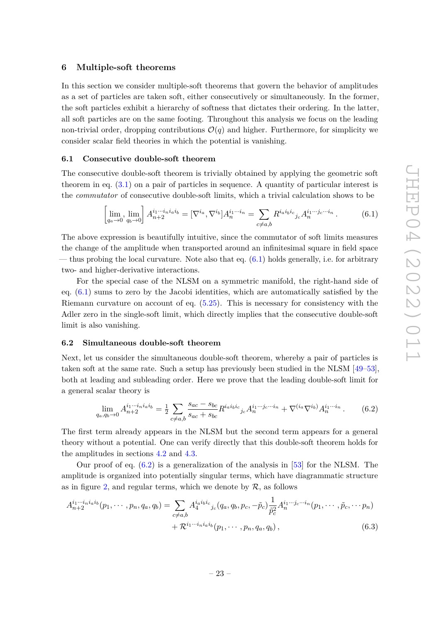#### <span id="page-23-0"></span>**6 Multiple-soft theorems**

In this section we consider multiple-soft theorems that govern the behavior of amplitudes as a set of particles are taken soft, either consecutively or simultaneously. In the former, the soft particles exhibit a hierarchy of softness that dictates their ordering. In the latter, all soft particles are on the same footing. Throughout this analysis we focus on the leading non-trivial order, dropping contributions  $\mathcal{O}(q)$  and higher. Furthermore, for simplicity we consider scalar field theories in which the potential is vanishing.

#### <span id="page-23-1"></span>**6.1 Consecutive double-soft theorem**

The consecutive double-soft theorem is trivially obtained by applying the geometric soft theorem in eq. [\(3.1\)](#page-6-3) on a pair of particles in sequence. A quantity of particular interest is the *commutator* of consecutive double-soft limits, which a trivial calculation shows to be

<span id="page-23-3"></span>
$$
\left[\lim_{q_a \to 0}, \lim_{q_b \to 0}\right] A^{i_1 \cdots i_n i_a i_b}_{n+2} = [\nabla^{i_a}, \nabla^{i_b}] A^{i_1 \cdots i_n}_{n} = \sum_{c \neq a,b} R^{i_a i_b i_c}{}_{j_c} A^{i_1 \cdots j_c \cdots i_n}_{n} .
$$
\n(6.1)

The above expression is beautifully intuitive, since the commutator of soft limits measures the change of the amplitude when transported around an infinitesimal square in field space — thus probing the local curvature. Note also that eq.  $(6.1)$  holds generally, i.e. for arbitrary two- and higher-derivative interactions.

For the special case of the NLSM on a symmetric manifold, the right-hand side of eq. [\(6.1\)](#page-23-3) sums to zero by the Jacobi identities, which are automatically satisfied by the Riemann curvature on account of eq. [\(5.25\)](#page-19-1). This is necessary for consistency with the Adler zero in the single-soft limit, which directly implies that the consecutive double-soft limit is also vanishing.

#### <span id="page-23-2"></span>**6.2 Simultaneous double-soft theorem**

Next, let us consider the simultaneous double-soft theorem, whereby a pair of particles is taken soft at the same rate. Such a setup has previously been studied in the NLSM [\[49–](#page-31-6)[53\]](#page-31-7), both at leading and subleading order. Here we prove that the leading double-soft limit for a general scalar theory is

<span id="page-23-5"></span><span id="page-23-4"></span>
$$
\lim_{q_a, q_b \to 0} A_{n+2}^{i_1 \cdots i_n i_a i_b} = \frac{1}{2} \sum_{c \neq a,b} \frac{s_{ac} - s_{bc}}{s_{ac} + s_{bc}} R^{i_a i_b i_c}{}_{j_c} A_n^{i_1 \cdots j_c \cdots i_n} + \nabla^{(i_a \nabla^{i_b})} A_n^{i_1 \cdots i_n} \,. \tag{6.2}
$$

The first term already appears in the NLSM but the second term appears for a general theory without a potential. One can verify directly that this double-soft theorem holds for the amplitudes in sections [4.2](#page-13-0) and [4.3.](#page-14-0)

Our proof of eq.  $(6.2)$  is a generalization of the analysis in [\[53\]](#page-31-7) for the NLSM. The amplitude is organized into potentially singular terms, which have diagrammatic structure as in figure [2,](#page-24-1) and regular terms, which we denote by  $\mathcal{R}$ , as follows

$$
A_{n+2}^{i_1\cdots i_n i_a i_b}(p_1, \cdots, p_n, q_a, q_b) = \sum_{c \neq a,b} A_4^{i_1 i_b i_c}{}_{j_c}(q_a, q_b, p_c, -\tilde{p}_c) \frac{1}{\tilde{p}_c^2} A_n^{i_1 \cdots j_c \cdots i_n}(p_1, \cdots, \tilde{p}_c, \cdots p_n) + \mathcal{R}^{i_1 \cdots i_n i_a i_b}(p_1, \cdots, p_n, q_a, q_b),
$$
\n
$$
(6.3)
$$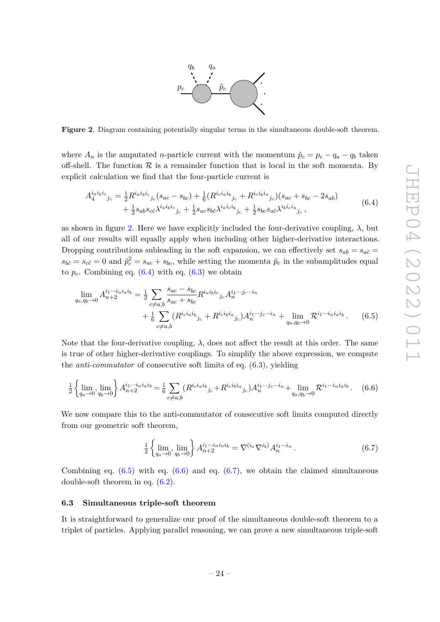

<span id="page-24-1"></span>**Figure 2**. Diagram containing potentially singular terms in the simultaneous double-soft theorem.

where  $A_n$  is the amputated *n*-particle current with the momentum  $\tilde{p}_c = p_c - q_a - q_b$  taken off-shell. The function  $\mathcal R$  is a remainder function that is local in the soft momenta. By explicit calculation we find that the four-particle current is

<span id="page-24-2"></span>
$$
A_4^{i_a i_b i_c}{}_{j_c} = \frac{1}{2} R^{i_a i_b i_c}{}_{j_c} (s_{ac} - s_{bc}) + \frac{1}{6} (R^{i_c i_a i_b}{}_{j_c} + R^{i_c i_b i_a}{}_{j_c}) (s_{ac} + s_{bc} - 2s_{ab}) + \frac{1}{2} s_{ab} s_{c\tilde{c}} \lambda^{i_a i_b i_c}{}_{j_c} + \frac{1}{2} s_{ac} s_{b\tilde{c}} \lambda^{i_a i_c i_b}{}_{j_c} + \frac{1}{2} s_{bc} s_{a\tilde{c}} \lambda^{i_b i_c i_a}{}_{j_c},
$$
\n
$$
(6.4)
$$

as shown in figure [2.](#page-24-1) Here we have explicitly included the four-derivative coupling,  $\lambda$ , but all of our results will equally apply when including other higher-derivative interactions. Dropping contributions subleading in the soft expansion, we can effectively set  $s_{ab} = s_{a\tilde{c}} =$  $s_{b\tilde{c}} = s_{c\tilde{c}} = 0$  and  $\tilde{p}_c^2 = s_{ac} + s_{bc}$ , while setting the momenta  $\tilde{p}_c$  in the subamplitudes equal to  $p_c$ . Combining eq.  $(6.4)$  with eq.  $(6.3)$  we obtain

$$
\lim_{q_a, q_b \to 0} A^{i_1 \cdots i_n i_a i_b}_{n+2} = \frac{1}{2} \sum_{c \neq a,b} \frac{s_{ac} - s_{bc}}{s_{ac} + s_{bc}} R^{i_a i_b i_c}_{\qquad c} j_c A^{i_1 \cdots j_c \cdots i_n}_{n}
$$
\n
$$
+ \frac{1}{6} \sum_{c \neq a,b} (R^{i_c i_a i_b}_{\qquad j_c} + R^{i_c i_b i_a}_{\qquad j_c}) A^{i_1 \cdots j_c \cdots i_n}_{n} + \lim_{q_a, q_b \to 0} R^{i_1 \cdots i_n i_a i_b}.
$$
\n(6.5)

Note that the four-derivative coupling,  $\lambda$ , does not affect the result at this order. The same is true of other higher-derivative couplings. To simplify the above expression, we compute the *anti-commutator* of consecutive soft limits of eq. [\(6.3\)](#page-23-5), yielding

<span id="page-24-4"></span>
$$
\frac{1}{2} \left\{ \lim_{q_a \to 0} \lim_{q_b \to 0} \right\} A_{n+2}^{i_1 \cdots i_n i_a i_b} = \frac{1}{6} \sum_{c \neq a,b} (R^{i_c i_a i_b}_{\qquad c} j_c + R^{i_c i_b i_a}_{\qquad c} j_c) A_n^{i_1 \cdots i_c \cdots i_n} + \lim_{q_a, q_b \to 0} \mathcal{R}^{i_1 \cdots i_n i_a i_b}.
$$
 (6.6)

We now compare this to the anti-commutator of consecutive soft limits computed directly from our geometric soft theorem,

<span id="page-24-5"></span><span id="page-24-3"></span>
$$
\frac{1}{2} \left\{ \lim_{q_a \to 0}, \lim_{q_b \to 0} \right\} A_{n+2}^{i_1 \cdots i_n i_a i_b} = \nabla^{(i_a \nabla^{i_b})} A_n^{i_1 \cdots i_n} . \tag{6.7}
$$

Combining eq.  $(6.5)$  with eq.  $(6.6)$  and eq.  $(6.7)$ , we obtain the claimed simultaneous double-soft theorem in eq. [\(6.2\)](#page-23-4).

#### <span id="page-24-0"></span>**6.3 Simultaneous triple-soft theorem**

It is straightforward to generalize our proof of the simultaneous double-soft theorem to a triplet of particles. Applying parallel reasoning, we can prove a new simultaneous triple-soft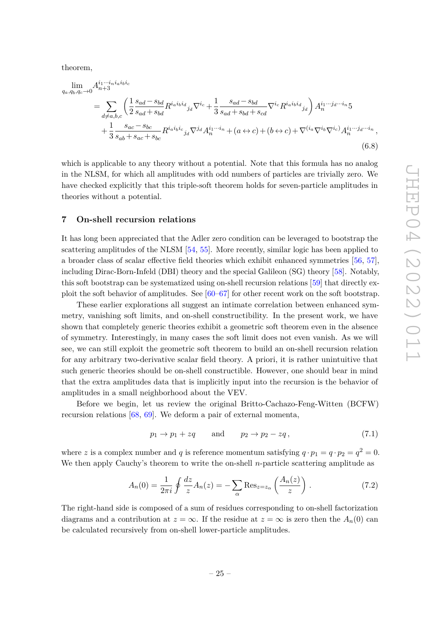theorem,

$$
\lim_{q_a, q_b, q_c \to 0} A_{n+3}^{i_1 \cdots i_n i_a i_b i_c}
$$
\n
$$
= \sum_{d \neq a, b, c} \left( \frac{1}{2} \frac{s_{ad} - s_{bd}}{s_{ad} + s_{bd}} R^{i_a i_b i_d}{}_{j_d} \nabla^{i_c} + \frac{1}{3} \frac{s_{ad} - s_{bd}}{s_{ad} + s_{bd} + s_{cd}} \nabla^{i_c} R^{i_a i_b i_d}{}_{j_d} \right) A_n^{i_1 \cdots j_d \cdots i_n} 5
$$
\n
$$
+ \frac{1}{3} \frac{s_{ac} - s_{bc}}{s_{ab} + s_{ac} + s_{bc}} R^{i_a i_b i_c}{}_{j_d} \nabla^{j_d} A_n^{i_1 \cdots i_n} + (a \leftrightarrow c) + (b \leftrightarrow c) + \nabla^{(i_a} \nabla^{i_b} \nabla^{i_c} A_n^{i_1 \cdots j_d \cdots i_n},
$$
\n(6.8)

which is applicable to any theory without a potential. Note that this formula has no analog in the NLSM, for which all amplitudes with odd numbers of particles are trivially zero. We have checked explicitly that this triple-soft theorem holds for seven-particle amplitudes in theories without a potential.

#### <span id="page-25-0"></span>**7 On-shell recursion relations**

It has long been appreciated that the Adler zero condition can be leveraged to bootstrap the scattering amplitudes of the NLSM [\[54,](#page-31-8) [55\]](#page-31-9). More recently, similar logic has been applied to a broader class of scalar effective field theories which exhibit enhanced symmetries [\[56,](#page-31-10) [57\]](#page-31-11), including Dirac-Born-Infeld (DBI) theory and the special Galileon (SG) theory [\[58\]](#page-31-12). Notably, this soft bootstrap can be systematized using on-shell recursion relations [\[59\]](#page-32-0) that directly exploit the soft behavior of amplitudes. See  $[60-67]$  $[60-67]$  for other recent work on the soft bootstrap.

These earlier explorations all suggest an intimate correlation between enhanced symmetry, vanishing soft limits, and on-shell constructibility. In the present work, we have shown that completely generic theories exhibit a geometric soft theorem even in the absence of symmetry. Interestingly, in many cases the soft limit does not even vanish. As we will see, we can still exploit the geometric soft theorem to build an on-shell recursion relation for any arbitrary two-derivative scalar field theory. A priori, it is rather unintuitive that such generic theories should be on-shell constructible. However, one should bear in mind that the extra amplitudes data that is implicitly input into the recursion is the behavior of amplitudes in a small neighborhood about the VEV.

Before we begin, let us review the original Britto-Cachazo-Feng-Witten (BCFW) recursion relations [\[68,](#page-32-3) [69\]](#page-32-4). We deform a pair of external momenta,

$$
p_1 \to p_1 + zq \qquad \text{and} \qquad p_2 \to p_2 - zq, \tag{7.1}
$$

where z is a complex number and *q* is reference momentum satisfying  $q \cdot p_1 = q \cdot p_2 = q^2 = 0$ . We then apply Cauchy's theorem to write the on-shell *n*-particle scattering amplitude as

$$
A_n(0) = \frac{1}{2\pi i} \oint \frac{dz}{z} A_n(z) = -\sum_{\alpha} \text{Res}_{z=z_{\alpha}} \left( \frac{A_n(z)}{z} \right) . \tag{7.2}
$$

The right-hand side is composed of a sum of residues corresponding to on-shell factorization diagrams and a contribution at  $z = \infty$ . If the residue at  $z = \infty$  is zero then the  $A_n(0)$  can be calculated recursively from on-shell lower-particle amplitudes.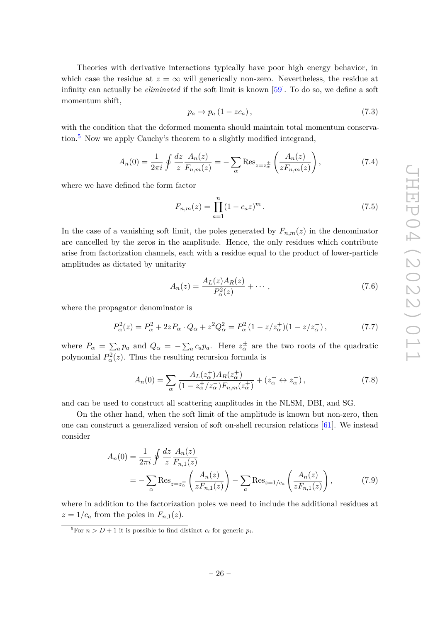Theories with derivative interactions typically have poor high energy behavior, in which case the residue at  $z = \infty$  will generically non-zero. Nevertheless, the residue at infinity can actually be *eliminated* if the soft limit is known [\[59\]](#page-32-0). To do so, we define a soft momentum shift,

<span id="page-26-2"></span>
$$
p_a \to p_a \left( 1 - z c_a \right), \tag{7.3}
$$

with the condition that the deformed momenta should maintain total momentum conservation. $5$  Now we apply Cauchy's theorem to a slightly modified integrand,

$$
A_n(0) = \frac{1}{2\pi i} \oint \frac{dz}{z} \frac{A_n(z)}{F_{n,m}(z)} = -\sum_{\alpha} \text{Res}_{z=z_{\alpha}^{\pm}} \left( \frac{A_n(z)}{zF_{n,m}(z)} \right),\tag{7.4}
$$

where we have defined the form factor

$$
F_{n,m}(z) = \prod_{a=1}^{n} (1 - c_a z)^m.
$$
 (7.5)

In the case of a vanishing soft limit, the poles generated by  $F_{n,m}(z)$  in the denominator are cancelled by the zeros in the amplitude. Hence, the only residues which contribute arise from factorization channels, each with a residue equal to the product of lower-particle amplitudes as dictated by unitarity

$$
A_n(z) = \frac{A_L(z)A_R(z)}{P_\alpha^2(z)} + \cdots , \qquad (7.6)
$$

where the propagator denominator is

$$
P_{\alpha}^{2}(z) = P_{\alpha}^{2} + 2zP_{\alpha} \cdot Q_{\alpha} + z^{2}Q_{\alpha}^{2} = P_{\alpha}^{2} (1 - z/z_{\alpha}^{+})(1 - z/z_{\alpha}^{-}), \qquad (7.7)
$$

where  $P_{\alpha} = \sum_{a} p_a$  and  $Q_{\alpha} = -\sum_{a} c_a p_a$ . Here  $z_{\alpha}^{\pm}$  are the two roots of the quadratic polynomial  $P_\alpha^2(z)$ . Thus the resulting recursion formula is

<span id="page-26-1"></span>
$$
A_n(0) = \sum_{\alpha} \frac{A_L(z_{\alpha}^+) A_R(z_{\alpha}^+)}{(1 - z_{\alpha}^+/z_{\alpha}^-) F_{n,m}(z_{\alpha}^+)} + (z_{\alpha}^+ \leftrightarrow z_{\alpha}^-), \tag{7.8}
$$

and can be used to construct all scattering amplitudes in the NLSM, DBI, and SG.

On the other hand, when the soft limit of the amplitude is known but non-zero, then one can construct a generalized version of soft on-shell recursion relations [\[61\]](#page-32-5). We instead consider

$$
A_n(0) = \frac{1}{2\pi i} \oint \frac{dz}{z} \frac{A_n(z)}{F_{n,1}(z)}
$$
  
= 
$$
-\sum_{\alpha} \text{Res}_{z=z_{\alpha}^{\pm}} \left( \frac{A_n(z)}{z F_{n,1}(z)} \right) - \sum_{a} \text{Res}_{z=1/c_a} \left( \frac{A_n(z)}{z F_{n,1}(z)} \right),
$$
(7.9)

where in addition to the factorization poles we need to include the additional residues at  $z = 1/c_a$  from the poles in  $F_{n,1}(z)$ .

<span id="page-26-0"></span><sup>&</sup>lt;sup>5</sup>For  $n > D + 1$  it is possible to find distinct  $c_i$  for generic  $p_i$ .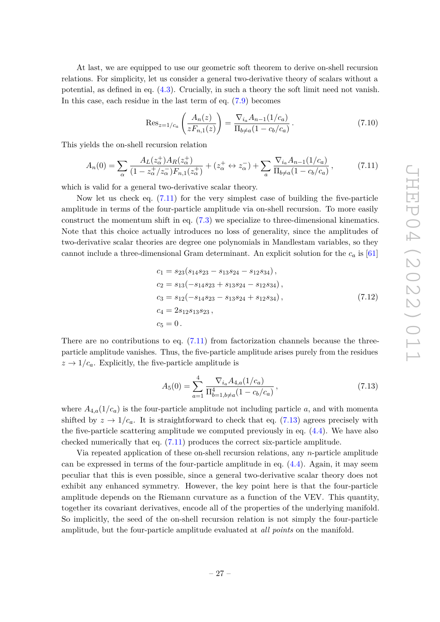At last, we are equipped to use our geometric soft theorem to derive on-shell recursion relations. For simplicity, let us consider a general two-derivative theory of scalars without a potential, as defined in eq. [\(4.3\)](#page-13-1). Crucially, in such a theory the soft limit need not vanish. In this case, each residue in the last term of eq. [\(7.9\)](#page-26-1) becomes

$$
\text{Res}_{z=1/c_a} \left( \frac{A_n(z)}{z F_{n,1}(z)} \right) = \frac{\nabla_{i_a} A_{n-1}(1/c_a)}{\Pi_{b \neq a} (1 - c_b/c_a)} \,. \tag{7.10}
$$

This yields the on-shell recursion relation

<span id="page-27-0"></span>
$$
A_n(0) = \sum_{\alpha} \frac{A_L(z_{\alpha}^+) A_R(z_{\alpha}^+)}{(1 - z_{\alpha}^+/z_{\alpha}^-) F_{n,1}(z_{\alpha}^+)} + (z_{\alpha}^+ \leftrightarrow z_{\alpha}^-) + \sum_{a} \frac{\nabla_{i_a} A_{n-1}(1/c_a)}{\Pi_{b \neq a}(1 - c_b/c_a)},
$$
(7.11)

which is valid for a general two-derivative scalar theory.

Now let us check eq.  $(7.11)$  for the very simplest case of building the five-particle amplitude in terms of the four-particle amplitude via on-shell recursion. To more easily construct the momentum shift in eq. [\(7.3\)](#page-26-2) we specialize to three-dimensional kinematics. Note that this choice actually introduces no loss of generality, since the amplitudes of two-derivative scalar theories are degree one polynomials in Mandlestam variables, so they cannot include a three-dimensional Gram determinant. An explicit solution for the *c<sup>a</sup>* is [\[61\]](#page-32-5)

$$
c_1 = s_{23}(s_{14}s_{23} - s_{13}s_{24} - s_{12}s_{34}),
$$
  
\n
$$
c_2 = s_{13}(-s_{14}s_{23} + s_{13}s_{24} - s_{12}s_{34}),
$$
  
\n
$$
c_3 = s_{12}(-s_{14}s_{23} - s_{13}s_{24} + s_{12}s_{34}),
$$
  
\n
$$
c_4 = 2s_{12}s_{13}s_{23},
$$
  
\n
$$
c_5 = 0.
$$
  
\n(7.12)

There are no contributions to eq.  $(7.11)$  from factorization channels because the threeparticle amplitude vanishes. Thus, the five-particle amplitude arises purely from the residues  $z \rightarrow 1/c_a$ . Explicitly, the five-particle amplitude is

<span id="page-27-1"></span>
$$
A_5(0) = \sum_{a=1}^4 \frac{\nabla_{i_a} A_{4,a} (1/c_a)}{\Pi_{b=1, b \neq a}^4 (1 - c_b/c_a)},
$$
\n(7.13)

where  $A_{4,a}(1/c_a)$  is the four-particle amplitude not including particle *a*, and with momenta shifted by  $z \to 1/c_a$ . It is straightforward to check that eq. [\(7.13\)](#page-27-1) agrees precisely with the five-particle scattering amplitude we computed previously in eq. [\(4.4\)](#page-14-2). We have also checked numerically that eq. [\(7.11\)](#page-27-0) produces the correct six-particle amplitude.

Via repeated application of these on-shell recursion relations, any *n*-particle amplitude can be expressed in terms of the four-particle amplitude in eq.  $(4.4)$ . Again, it may seem peculiar that this is even possible, since a general two-derivative scalar theory does not exhibit any enhanced symmetry. However, the key point here is that the four-particle amplitude depends on the Riemann curvature as a function of the VEV. This quantity, together its covariant derivatives, encode all of the properties of the underlying manifold. So implicitly, the seed of the on-shell recursion relation is not simply the four-particle amplitude, but the four-particle amplitude evaluated at *all points* on the manifold.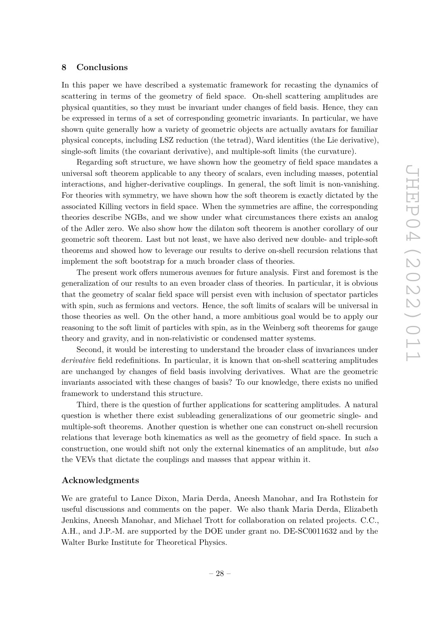## <span id="page-28-0"></span>**8 Conclusions**

In this paper we have described a systematic framework for recasting the dynamics of scattering in terms of the geometry of field space. On-shell scattering amplitudes are physical quantities, so they must be invariant under changes of field basis. Hence, they can be expressed in terms of a set of corresponding geometric invariants. In particular, we have shown quite generally how a variety of geometric objects are actually avatars for familiar physical concepts, including LSZ reduction (the tetrad), Ward identities (the Lie derivative), single-soft limits (the covariant derivative), and multiple-soft limits (the curvature).

Regarding soft structure, we have shown how the geometry of field space mandates a universal soft theorem applicable to any theory of scalars, even including masses, potential interactions, and higher-derivative couplings. In general, the soft limit is non-vanishing. For theories with symmetry, we have shown how the soft theorem is exactly dictated by the associated Killing vectors in field space. When the symmetries are affine, the corresponding theories describe NGBs, and we show under what circumstances there exists an analog of the Adler zero. We also show how the dilaton soft theorem is another corollary of our geometric soft theorem. Last but not least, we have also derived new double- and triple-soft theorems and showed how to leverage our results to derive on-shell recursion relations that implement the soft bootstrap for a much broader class of theories.

The present work offers numerous avenues for future analysis. First and foremost is the generalization of our results to an even broader class of theories. In particular, it is obvious that the geometry of scalar field space will persist even with inclusion of spectator particles with spin, such as fermions and vectors. Hence, the soft limits of scalars will be universal in those theories as well. On the other hand, a more ambitious goal would be to apply our reasoning to the soft limit of particles with spin, as in the Weinberg soft theorems for gauge theory and gravity, and in non-relativistic or condensed matter systems.

Second, it would be interesting to understand the broader class of invariances under *derivative* field redefinitions. In particular, it is known that on-shell scattering amplitudes are unchanged by changes of field basis involving derivatives. What are the geometric invariants associated with these changes of basis? To our knowledge, there exists no unified framework to understand this structure.

Third, there is the question of further applications for scattering amplitudes. A natural question is whether there exist subleading generalizations of our geometric single- and multiple-soft theorems. Another question is whether one can construct on-shell recursion relations that leverage both kinematics as well as the geometry of field space. In such a construction, one would shift not only the external kinematics of an amplitude, but *also* the VEVs that dictate the couplings and masses that appear within it.

### **Acknowledgments**

We are grateful to Lance Dixon, Maria Derda, Aneesh Manohar, and Ira Rothstein for useful discussions and comments on the paper. We also thank Maria Derda, Elizabeth Jenkins, Aneesh Manohar, and Michael Trott for collaboration on related projects. C.C., A.H., and J.P.-M. are supported by the DOE under grant no. DE-SC0011632 and by the Walter Burke Institute for Theoretical Physics.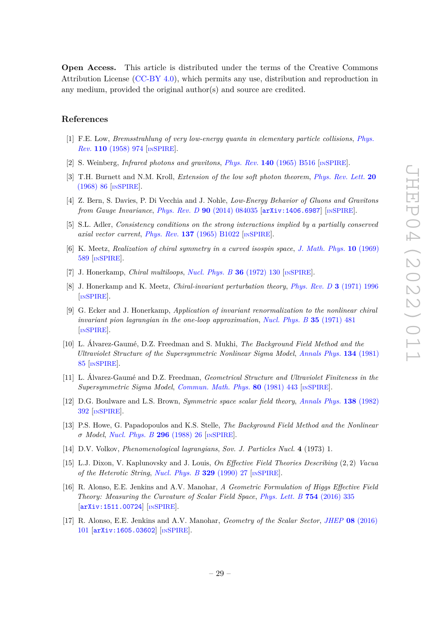**Open Access.** This article is distributed under the terms of the Creative Commons Attribution License [\(CC-BY 4.0\)](https://creativecommons.org/licenses/by/4.0/), which permits any use, distribution and reproduction in any medium, provided the original author(s) and source are credited.

# **References**

- <span id="page-29-0"></span>[1] F.E. Low, *Bremsstrahlung of very low-energy quanta in elementary particle collisions*, *[Phys.](https://doi.org/10.1103/PhysRev.110.974) Rev.* **110** [\(1958\) 974](https://doi.org/10.1103/PhysRev.110.974) [IN[SPIRE](https://inspirehep.net/search?p=find+J%20%22Phys.Rev.%2C110%2C974%22)].
- [2] S. Weinberg, *Infrared photons and gravitons*, *Phys. Rev.* **140** [\(1965\) B516](https://doi.org/10.1103/PhysRev.140.B516) [IN[SPIRE](https://inspirehep.net/search?p=find+J%20%22Phys.Rev.%2C140%2CB516%22)].
- [3] T.H. Burnett and N.M. Kroll, *Extension of the low soft photon theorem*, *[Phys. Rev. Lett.](https://doi.org/10.1103/PhysRevLett.20.86)* **20** [\(1968\) 86](https://doi.org/10.1103/PhysRevLett.20.86) [IN[SPIRE](https://inspirehep.net/search?p=find+J%20%22Phys.Rev.Lett.%2C20%2C86%22)].
- <span id="page-29-1"></span>[4] Z. Bern, S. Davies, P. Di Vecchia and J. Nohle, *Low-Energy Behavior of Gluons and Gravitons from Gauge Invariance*, *Phys. Rev. D* **90** [\(2014\) 084035](https://doi.org/10.1103/PhysRevD.90.084035) [[arXiv:1406.6987](https://arxiv.org/abs/1406.6987)] [IN[SPIRE](https://inspirehep.net/search?p=find+EPRINT%2BarXiv%3A1406.6987)].
- <span id="page-29-2"></span>[5] S.L. Adler, *Consistency conditions on the strong interactions implied by a partially conserved axial vector current*, *Phys. Rev.* **137** [\(1965\) B1022](https://doi.org/10.1103/PhysRev.137.B1022) [IN[SPIRE](https://inspirehep.net/search?p=find+J%20%22Phys.Rev.%2C137%2CB1022%22)].
- <span id="page-29-3"></span>[6] K. Meetz, *Realization of chiral symmetry in a curved isospin space*, *[J. Math. Phys.](https://doi.org/10.1063/1.1664881)* **10** (1969) [589](https://doi.org/10.1063/1.1664881) [IN[SPIRE](https://inspirehep.net/search?p=find+J%20%22J.Math.Phys.%2C10%2C589%22)].
- [7] J. Honerkamp, *Chiral multiloops*, *[Nucl. Phys. B](https://doi.org/10.1016/0550-3213(72)90299-4)* **36** (1972) 130 [IN[SPIRE](https://inspirehep.net/search?p=find+J%20%22Nucl.Phys.%2CB36%2C130%22)].
- [8] J. Honerkamp and K. Meetz, *Chiral-invariant perturbation theory*, *[Phys. Rev. D](https://doi.org/10.1103/PhysRevD.3.1996)* **3** (1971) 1996 [IN[SPIRE](https://inspirehep.net/search?p=find+J%20%22Phys.Rev.%2CD3%2C1996%22)].
- [9] G. Ecker and J. Honerkamp, *Application of invariant renormalization to the nonlinear chiral invariant pion lagrangian in the one-loop approximation*, *[Nucl. Phys. B](https://doi.org/10.1016/0550-3213(71)90468-8)* **35** (1971) 481 [IN[SPIRE](https://inspirehep.net/search?p=find+J%20%22Nucl.Phys.%2CB35%2C481%22)].
- [10] L. Álvarez-Gaumé, D.Z. Freedman and S. Mukhi, *The Background Field Method and the Ultraviolet Structure of the Supersymmetric Nonlinear Sigma Model*, *[Annals Phys.](https://doi.org/10.1016/0003-4916(81)90006-3)* **134** (1981) [85](https://doi.org/10.1016/0003-4916(81)90006-3) [IN[SPIRE](https://inspirehep.net/search?p=find+J%20%22Annals%20Phys.%2C134%2C85%22)].
- [11] L. Álvarez-Gaumé and D.Z. Freedman, *Geometrical Structure and Ultraviolet Finiteness in the Supersymmetric Sigma Model*, *[Commun. Math. Phys.](https://doi.org/10.1007/BF01208280)* **80** (1981) 443 [IN[SPIRE](https://inspirehep.net/search?p=find+J%20%22Commun.Math.Phys.%2C80%2C443%22)].
- <span id="page-29-6"></span>[12] D.G. Boulware and L.S. Brown, *Symmetric space scalar field theory*, *[Annals Phys.](https://doi.org/10.1016/0003-4916(82)90192-0)* **138** (1982) [392](https://doi.org/10.1016/0003-4916(82)90192-0) [IN[SPIRE](https://inspirehep.net/search?p=find+J%20%22Annals%20Phys.%2C138%2C392%22)].
- <span id="page-29-4"></span>[13] P.S. Howe, G. Papadopoulos and K.S. Stelle, *The Background Field Method and the Nonlinear σ Model*, *[Nucl. Phys. B](https://doi.org/10.1016/0550-3213(88)90379-3)* **296** (1988) 26 [IN[SPIRE](https://inspirehep.net/search?p=find+J%20%22Nucl.Phys.%2CB296%2C26%22)].
- <span id="page-29-5"></span>[14] D.V. Volkov, *Phenomenological lagrangians*, *Sov. J. Particles Nucl.* **4** (1973) 1.
- [15] L.J. Dixon, V. Kaplunovsky and J. Louis, *On Effective Field Theories Describing* (2*,* 2) *Vacua of the Heterotic String*, *[Nucl. Phys. B](https://doi.org/10.1016/0550-3213(90)90057-K)* **329** (1990) 27 [IN[SPIRE](https://inspirehep.net/search?p=find+J%20%22Nucl.Phys.%2CB329%2C27%22)].
- [16] R. Alonso, E.E. Jenkins and A.V. Manohar, *A Geometric Formulation of Higgs Effective Field Theory: Measuring the Curvature of Scalar Field Space*, *[Phys. Lett. B](https://doi.org/10.1016/j.physletb.2016.01.041)* **754** (2016) 335 [[arXiv:1511.00724](https://arxiv.org/abs/1511.00724)] [IN[SPIRE](https://inspirehep.net/search?p=find+EPRINT%2BarXiv%3A1511.00724)].
- [17] R. Alonso, E.E. Jenkins and A.V. Manohar, *Geometry of the Scalar Sector*, *JHEP* **08** [\(2016\)](https://doi.org/10.1007/JHEP08(2016)101) [101](https://doi.org/10.1007/JHEP08(2016)101) [[arXiv:1605.03602](https://arxiv.org/abs/1605.03602)] [IN[SPIRE](https://inspirehep.net/search?p=find+EPRINT%2BarXiv%3A1605.03602)].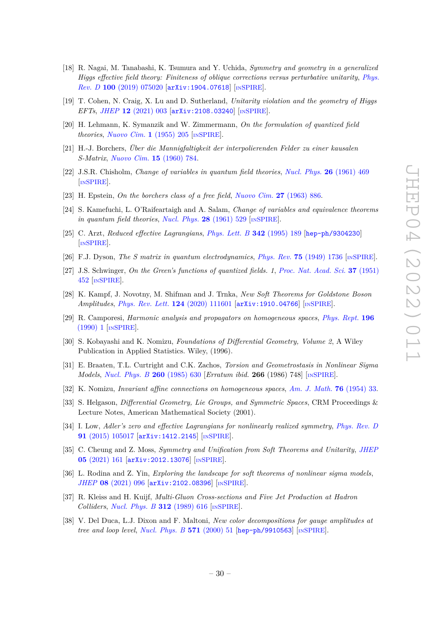- [18] R. Nagai, M. Tanabashi, K. Tsumura and Y. Uchida, *Symmetry and geometry in a generalized Higgs effective field theory: Finiteness of oblique corrections versus perturbative unitarity*, *[Phys.](https://doi.org/10.1103/PhysRevD.100.075020) Rev. D* **100** [\(2019\) 075020](https://doi.org/10.1103/PhysRevD.100.075020) [[arXiv:1904.07618](https://arxiv.org/abs/1904.07618)] [IN[SPIRE](https://inspirehep.net/search?p=find+EPRINT%2BarXiv%3A1904.07618)].
- <span id="page-30-0"></span>[19] T. Cohen, N. Craig, X. Lu and D. Sutherland, *Unitarity violation and the geometry of Higgs EFTs*, *JHEP* **12** [\(2021\) 003](https://doi.org/10.1007/JHEP12(2021)003) [[arXiv:2108.03240](https://arxiv.org/abs/2108.03240)] [IN[SPIRE](https://inspirehep.net/search?p=find+EPRINT%2BarXiv%3A2108.03240)].
- <span id="page-30-1"></span>[20] H. Lehmann, K. Symanzik and W. Zimmermann, *On the formulation of quantized field theories*, *[Nuovo Cim.](https://doi.org/10.1007/BF02731765)* **1** (1955) 205 [IN[SPIRE](https://inspirehep.net/search?p=find+J%20%22Nuovo%20Cim.%2C1%2C205%22)].
- <span id="page-30-2"></span>[21] H.-J. Borchers, *Über die Mannigfaltigkeit der interpolierenden Felder zu einer kausalen S-Matrix*, *[Nuovo Cim.](https://doi.org/10.1007/BF02732693)* **15** (1960) 784.
- [22] J.S.R. Chisholm, *Change of variables in quantum field theories*, *[Nucl. Phys.](https://doi.org/10.1016/0029-5582(61)90106-7)* **26** (1961) 469 [IN[SPIRE](https://inspirehep.net/search?p=find+J%20%22Nucl.Phys.%2C26%2C469%22)].
- [23] H. Epstein, *On the borchers class of a free field*, *[Nuovo Cim.](https://doi.org/10.1007/BF02783277)* **27** (1963) 886.
- [24] S. Kamefuchi, L. O'Raifeartaigh and A. Salam, *Change of variables and equivalence theorems in quantum field theories*, *[Nucl. Phys.](https://doi.org/10.1016/0029-5582(61)90056-6)* **28** (1961) 529 [IN[SPIRE](https://inspirehep.net/search?p=find+J%20%22Nucl.Phys.%2C28%2C529%22)].
- <span id="page-30-3"></span>[25] C. Arzt, *Reduced effective Lagrangians*, *[Phys. Lett. B](https://doi.org/10.1016/0370-2693(94)01419-D)* **342** (1995) 189 [[hep-ph/9304230](https://arxiv.org/abs/hep-ph/9304230)] [IN[SPIRE](https://inspirehep.net/search?p=find+EPRINT%2Bhep-ph%2F9304230)].
- <span id="page-30-4"></span>[26] F.J. Dyson, *The S matrix in quantum electrodynamics*, *Phys. Rev.* **75** [\(1949\) 1736](https://doi.org/10.1103/PhysRev.75.1736) [IN[SPIRE](https://inspirehep.net/search?p=find+J%20%22Phys.Rev.%2C75%2C1736%22)].
- <span id="page-30-5"></span>[27] J.S. Schwinger, *On the Green's functions of quantized fields. 1*, *[Proc. Nat. Acad. Sci.](https://doi.org/10.1073/pnas.37.7.452)* **37** (1951) [452](https://doi.org/10.1073/pnas.37.7.452) [IN[SPIRE](https://inspirehep.net/search?p=find+J%20%22Proc.Nat.Acad.Sci.%2C37%2C452%22)].
- <span id="page-30-6"></span>[28] K. Kampf, J. Novotny, M. Shifman and J. Trnka, *New Soft Theorems for Goldstone Boson Amplitudes*, *[Phys. Rev. Lett.](https://doi.org/10.1103/PhysRevLett.124.111601)* **124** (2020) 111601 [[arXiv:1910.04766](https://arxiv.org/abs/1910.04766)] [IN[SPIRE](https://inspirehep.net/search?p=find+EPRINT%2BarXiv%3A1910.04766)].
- <span id="page-30-7"></span>[29] R. Camporesi, *Harmonic analysis and propagators on homogeneous spaces*, *[Phys. Rept.](https://doi.org/10.1016/0370-1573(90)90120-Q)* **196** [\(1990\) 1](https://doi.org/10.1016/0370-1573(90)90120-Q) [IN[SPIRE](https://inspirehep.net/search?p=find+J%20%22Phys.Rept.%2C196%2C1%22)].
- <span id="page-30-8"></span>[30] S. Kobayashi and K. Nomizu, *Foundations of Differential Geometry, Volume 2*, A Wiley Publication in Applied Statistics. Wiley, (1996).
- <span id="page-30-9"></span>[31] E. Braaten, T.L. Curtright and C.K. Zachos, *Torsion and Geometrostasis in Nonlinear Sigma Models*, *[Nucl. Phys. B](https://doi.org/10.1016/0550-3213(86)90196-3)* **260** (1985) 630 [*Erratum ibid.* **266** (1986) 748] [IN[SPIRE](https://inspirehep.net/search?p=find+J%20%22Nucl.Phys.%2CB260%2C630%22)].
- <span id="page-30-10"></span>[32] K. Nomizu, *Invariant affine connections on homogeneous spaces*, *[Am. J. Math.](https://doi.org/10.2307/2372398)* **76** (1954) 33.
- <span id="page-30-11"></span>[33] S. Helgason, *Differential Geometry, Lie Groups, and Symmetric Spaces*, CRM Proceedings & Lecture Notes, American Mathematical Society (2001).
- <span id="page-30-12"></span>[34] I. Low, *Adler's zero and effective Lagrangians for nonlinearly realized symmetry*, *[Phys. Rev. D](https://doi.org/10.1103/PhysRevD.91.105017)* **91** [\(2015\) 105017](https://doi.org/10.1103/PhysRevD.91.105017) [[arXiv:1412.2145](https://arxiv.org/abs/1412.2145)] [IN[SPIRE](https://inspirehep.net/search?p=find+EPRINT%2BarXiv%3A1412.2145)].
- <span id="page-30-13"></span>[35] C. Cheung and Z. Moss, *Symmetry and Unification from Soft Theorems and Unitarity*, *[JHEP](https://doi.org/10.1007/JHEP05(2021)161)* **05** [\(2021\) 161](https://doi.org/10.1007/JHEP05(2021)161) [[arXiv:2012.13076](https://arxiv.org/abs/2012.13076)] [IN[SPIRE](https://inspirehep.net/search?p=find+EPRINT%2BarXiv%3A2012.13076)].
- <span id="page-30-14"></span>[36] L. Rodina and Z. Yin, *Exploring the landscape for soft theorems of nonlinear sigma models*, *JHEP* **08** [\(2021\) 096](https://doi.org/10.1007/JHEP08(2021)096) [[arXiv:2102.08396](https://arxiv.org/abs/2102.08396)] [IN[SPIRE](https://inspirehep.net/search?p=find+EPRINT%2BarXiv%3A2102.08396)].
- <span id="page-30-15"></span>[37] R. Kleiss and H. Kuijf, *Multi-Gluon Cross-sections and Five Jet Production at Hadron Colliders*, *[Nucl. Phys. B](https://doi.org/10.1016/0550-3213(89)90574-9)* **312** (1989) 616 [IN[SPIRE](https://inspirehep.net/search?p=find+J%20%22Nucl.Phys.%2CB312%2C616%22)].
- <span id="page-30-16"></span>[38] V. Del Duca, L.J. Dixon and F. Maltoni, *New color decompositions for gauge amplitudes at tree and loop level*, *[Nucl. Phys. B](https://doi.org/10.1016/S0550-3213(99)00809-3)* **571** (2000) 51 [[hep-ph/9910563](https://arxiv.org/abs/hep-ph/9910563)] [IN[SPIRE](https://inspirehep.net/search?p=find+EPRINT%2Bhep-ph%2F9910563)].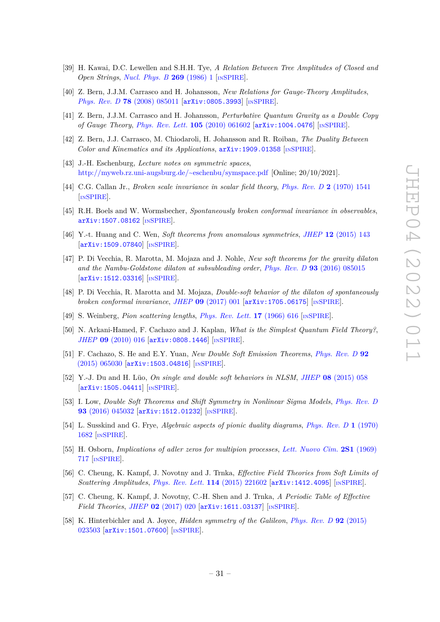- <span id="page-31-0"></span>[39] H. Kawai, D.C. Lewellen and S.H.H. Tye, *A Relation Between Tree Amplitudes of Closed and Open Strings*, *[Nucl. Phys. B](https://doi.org/10.1016/0550-3213(86)90362-7)* **269** (1986) 1 [IN[SPIRE](https://inspirehep.net/search?p=find+J%20%22Nucl.Phys.%2CB269%2C1%22)].
- [40] Z. Bern, J.J.M. Carrasco and H. Johansson, *New Relations for Gauge-Theory Amplitudes*, *Phys. Rev. D* **78** [\(2008\) 085011](https://doi.org/10.1103/PhysRevD.78.085011) [[arXiv:0805.3993](https://arxiv.org/abs/0805.3993)] [IN[SPIRE](https://inspirehep.net/search?p=find+EPRINT%2BarXiv%3A0805.3993)].
- [41] Z. Bern, J.J.M. Carrasco and H. Johansson, *Perturbative Quantum Gravity as a Double Copy of Gauge Theory*, *[Phys. Rev. Lett.](https://doi.org/10.1103/PhysRevLett.105.061602)* **105** (2010) 061602 [[arXiv:1004.0476](https://arxiv.org/abs/1004.0476)] [IN[SPIRE](https://inspirehep.net/search?p=find+EPRINT%2BarXiv%3A1004.0476)].
- <span id="page-31-1"></span>[42] Z. Bern, J.J. Carrasco, M. Chiodaroli, H. Johansson and R. Roiban, *The Duality Between Color and Kinematics and its Applications*, [arXiv:1909.01358](https://arxiv.org/abs/1909.01358) [IN[SPIRE](https://inspirehep.net/search?p=find+EPRINT%2BarXiv%3A1909.01358)].
- <span id="page-31-2"></span>[43] J.-H. Eschenburg, *Lecture notes on symmetric spaces*, <http://myweb.rz.uni-augsburg.de/~eschenbu/symspace.pdf> [Online; 20/10/2021].
- <span id="page-31-3"></span>[44] C.G. Callan Jr., *Broken scale invariance in scalar field theory*, *[Phys. Rev. D](https://doi.org/10.1103/PhysRevD.2.1541)* **2** (1970) 1541 [IN[SPIRE](https://inspirehep.net/search?p=find+J%20%22Phys.Rev.%2CD2%2C1541%22)].
- [45] R.H. Boels and W. Wormsbecher, *Spontaneously broken conformal invariance in observables*, [arXiv:1507.08162](https://arxiv.org/abs/1507.08162) [IN[SPIRE](https://inspirehep.net/search?p=find+EPRINT%2BarXiv%3A1507.08162)].
- [46] Y.-t. Huang and C. Wen, *Soft theorems from anomalous symmetries*, *JHEP* **12** [\(2015\) 143](https://doi.org/10.1007/JHEP12(2015)143) [[arXiv:1509.07840](https://arxiv.org/abs/1509.07840)] [IN[SPIRE](https://inspirehep.net/search?p=find+EPRINT%2BarXiv%3A1509.07840)].
- <span id="page-31-4"></span>[47] P. Di Vecchia, R. Marotta, M. Mojaza and J. Nohle, *New soft theorems for the gravity dilaton and the Nambu-Goldstone dilaton at subsubleading order*, *Phys. Rev. D* **93** [\(2016\) 085015](https://doi.org/10.1103/PhysRevD.93.085015) [[arXiv:1512.03316](https://arxiv.org/abs/1512.03316)] [IN[SPIRE](https://inspirehep.net/search?p=find+EPRINT%2BarXiv%3A1512.03316)].
- <span id="page-31-5"></span>[48] P. Di Vecchia, R. Marotta and M. Mojaza, *Double-soft behavior of the dilaton of spontaneously broken conformal invariance*, *JHEP* **09** [\(2017\) 001](https://doi.org/10.1007/JHEP09(2017)001) [[arXiv:1705.06175](https://arxiv.org/abs/1705.06175)] [IN[SPIRE](https://inspirehep.net/search?p=find+EPRINT%2BarXiv%3A1705.06175)].
- <span id="page-31-6"></span>[49] S. Weinberg, *Pion scattering lengths*, *[Phys. Rev. Lett.](https://doi.org/10.1103/PhysRevLett.17.616)* **17** (1966) 616 [IN[SPIRE](https://inspirehep.net/search?p=find+J%20%22Phys.Rev.Lett.%2C17%2C616%22)].
- [50] N. Arkani-Hamed, F. Cachazo and J. Kaplan, *What is the Simplest Quantum Field Theory?*, *JHEP* **09** [\(2010\) 016](https://doi.org/10.1007/JHEP09(2010)016) [[arXiv:0808.1446](https://arxiv.org/abs/0808.1446)] [IN[SPIRE](https://inspirehep.net/search?p=find+EPRINT%2BarXiv%3A0808.1446)].
- [51] F. Cachazo, S. He and E.Y. Yuan, *New Double Soft Emission Theorems*, *[Phys. Rev. D](https://doi.org/10.1103/PhysRevD.92.065030)* **92** [\(2015\) 065030](https://doi.org/10.1103/PhysRevD.92.065030) [[arXiv:1503.04816](https://arxiv.org/abs/1503.04816)] [IN[SPIRE](https://inspirehep.net/search?p=find+EPRINT%2BarXiv%3A1503.04816)].
- [52] Y.-J. Du and H. Lüo, *On single and double soft behaviors in NLSM*, *JHEP* **08** [\(2015\) 058](https://doi.org/10.1007/JHEP08(2015)058) [[arXiv:1505.04411](https://arxiv.org/abs/1505.04411)] [IN[SPIRE](https://inspirehep.net/search?p=find+EPRINT%2BarXiv%3A1505.04411)].
- <span id="page-31-7"></span>[53] I. Low, *Double Soft Theorems and Shift Symmetry in Nonlinear Sigma Models*, *[Phys. Rev. D](https://doi.org/10.1103/PhysRevD.93.045032)* **93** [\(2016\) 045032](https://doi.org/10.1103/PhysRevD.93.045032) [[arXiv:1512.01232](https://arxiv.org/abs/1512.01232)] [IN[SPIRE](https://inspirehep.net/search?p=find+EPRINT%2BarXiv%3A1512.01232)].
- <span id="page-31-8"></span>[54] L. Susskind and G. Frye, *Algebraic aspects of pionic duality diagrams*, *[Phys. Rev. D](https://doi.org/10.1103/PhysRevD.1.1682)* **1** (1970) [1682](https://doi.org/10.1103/PhysRevD.1.1682) [IN[SPIRE](https://inspirehep.net/search?p=find+J%20%22Phys.Rev.%2CD1%2C1682%22)].
- <span id="page-31-9"></span>[55] H. Osborn, *Implications of adler zeros for multipion processes*, *[Lett. Nuovo Cim.](https://doi.org/10.1007/BF02755724)* **2S1** (1969) [717](https://doi.org/10.1007/BF02755724) [IN[SPIRE](https://inspirehep.net/search?p=find+J%20%22Lett.Nuovo%20Cim.%2C2S1%2C717%22)].
- <span id="page-31-10"></span>[56] C. Cheung, K. Kampf, J. Novotny and J. Trnka, *Effective Field Theories from Soft Limits of Scattering Amplitudes*, *[Phys. Rev. Lett.](https://doi.org/10.1103/PhysRevLett.114.221602)* **114** (2015) 221602 [[arXiv:1412.4095](https://arxiv.org/abs/1412.4095)] [IN[SPIRE](https://inspirehep.net/search?p=find+EPRINT%2BarXiv%3A1412.4095)].
- <span id="page-31-11"></span>[57] C. Cheung, K. Kampf, J. Novotny, C.-H. Shen and J. Trnka, *A Periodic Table of Effective Field Theories*, *JHEP* **02** [\(2017\) 020](https://doi.org/10.1007/JHEP02(2017)020) [[arXiv:1611.03137](https://arxiv.org/abs/1611.03137)] [IN[SPIRE](https://inspirehep.net/search?p=find+EPRINT%2BarXiv%3A1611.03137)].
- <span id="page-31-12"></span>[58] K. Hinterbichler and A. Joyce, *Hidden symmetry of the Galileon*, *[Phys. Rev. D](https://doi.org/10.1103/PhysRevD.92.023503)* **92** (2015) [023503](https://doi.org/10.1103/PhysRevD.92.023503) [[arXiv:1501.07600](https://arxiv.org/abs/1501.07600)] [IN[SPIRE](https://inspirehep.net/search?p=find+EPRINT%2BarXiv%3A1501.07600)].